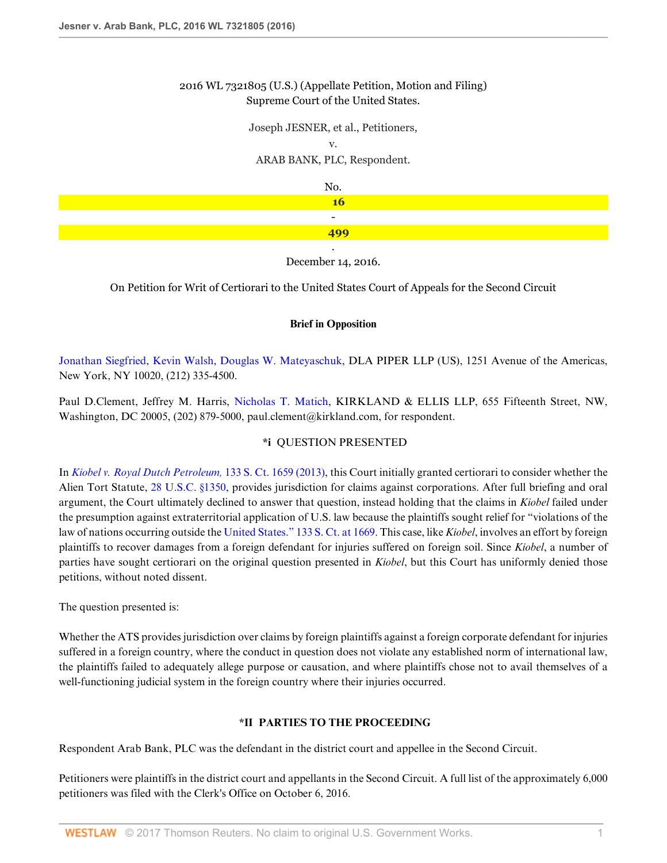### 2016 WL 7321805 (U.S.) (Appellate Petition, Motion and Filing) Supreme Court of the United States.

Joseph JESNER, et al., Petitioners, v. ARAB BANK, PLC, Respondent. No. **16** -

> . December 14, 2016.

**499**

On Petition for Writ of Certiorari to the United States Court of Appeals for the Second Circuit

### **Brief in Opposition**

[Jonathan Siegfried](http://www.westlaw.com/Link/Document/FullText?findType=h&pubNum=176284&cite=0151545701&originatingDoc=I1461840bc39411e6b92bf4314c15140f&refType=RQ&originationContext=document&vr=3.0&rs=cblt1.0&transitionType=DocumentItem&contextData=(sc.Search)), [Kevin Walsh](http://www.westlaw.com/Link/Document/FullText?findType=h&pubNum=176284&cite=0104708201&originatingDoc=I1461840bc39411e6b92bf4314c15140f&refType=RQ&originationContext=document&vr=3.0&rs=cblt1.0&transitionType=DocumentItem&contextData=(sc.Search)), [Douglas W. Mateyaschuk](http://www.westlaw.com/Link/Document/FullText?findType=h&pubNum=176284&cite=0358059601&originatingDoc=I1461840bc39411e6b92bf4314c15140f&refType=RQ&originationContext=document&vr=3.0&rs=cblt1.0&transitionType=DocumentItem&contextData=(sc.Search)), DLA PIPER LLP (US), 1251 Avenue of the Americas, New York, NY 10020, (212) 335-4500.

Paul D.Clement, Jeffrey M. Harris, [Nicholas T. Matich](http://www.westlaw.com/Link/Document/FullText?findType=h&pubNum=176284&cite=0488800299&originatingDoc=I1461840bc39411e6b92bf4314c15140f&refType=RQ&originationContext=document&vr=3.0&rs=cblt1.0&transitionType=DocumentItem&contextData=(sc.Search)), KIRKLAND & ELLIS LLP, 655 Fifteenth Street, NW, Washington, DC 20005, (202) 879-5000, paul.clement@kirkland.com, for respondent.

### **\*i** QUESTION PRESENTED

In *[Kiobel v. Royal Dutch Petroleum,](http://www.westlaw.com/Link/Document/FullText?findType=Y&serNum=2030367986&pubNum=0000708&originatingDoc=I1461840bc39411e6b92bf4314c15140f&refType=RP&originationContext=document&vr=3.0&rs=cblt1.0&transitionType=DocumentItem&contextData=(sc.Search))* 133 S. Ct. 1659 (2013), this Court initially granted certiorari to consider whether the Alien Tort Statute, [28 U.S.C. §1350](http://www.westlaw.com/Link/Document/FullText?findType=L&pubNum=1000546&cite=28USCAS1350&originatingDoc=I1461840bc39411e6b92bf4314c15140f&refType=LQ&originationContext=document&vr=3.0&rs=cblt1.0&transitionType=DocumentItem&contextData=(sc.Search)), provides jurisdiction for claims against corporations. After full briefing and oral argument, the Court ultimately declined to answer that question, instead holding that the claims in *Kiobel* failed under the presumption against extraterritorial application of U.S. law because the plaintiffs sought relief for "violations of the law of nations occurring outside the [United States." 133 S. Ct. at 1669](http://www.westlaw.com/Link/Document/FullText?findType=Y&serNum=2030367986&pubNum=0000708&originatingDoc=I1461840bc39411e6b92bf4314c15140f&refType=RP&fi=co_pp_sp_708_1669&originationContext=document&vr=3.0&rs=cblt1.0&transitionType=DocumentItem&contextData=(sc.Search)#co_pp_sp_708_1669). This case, like *Kiobel*, involves an effort by foreign plaintiffs to recover damages from a foreign defendant for injuries suffered on foreign soil. Since *Kiobel*, a number of parties have sought certiorari on the original question presented in *Kiobel*, but this Court has uniformly denied those petitions, without noted dissent.

The question presented is:

Whether the ATS provides jurisdiction over claims by foreign plaintiffs against a foreign corporate defendant for injuries suffered in a foreign country, where the conduct in question does not violate any established norm of international law, the plaintiffs failed to adequately allege purpose or causation, and where plaintiffs chose not to avail themselves of a well-functioning judicial system in the foreign country where their injuries occurred.

### **\*II PARTIES TO THE PROCEEDING**

Respondent Arab Bank, PLC was the defendant in the district court and appellee in the Second Circuit.

Petitioners were plaintiffs in the district court and appellants in the Second Circuit. A full list of the approximately 6,000 petitioners was filed with the Clerk's Office on October 6, 2016.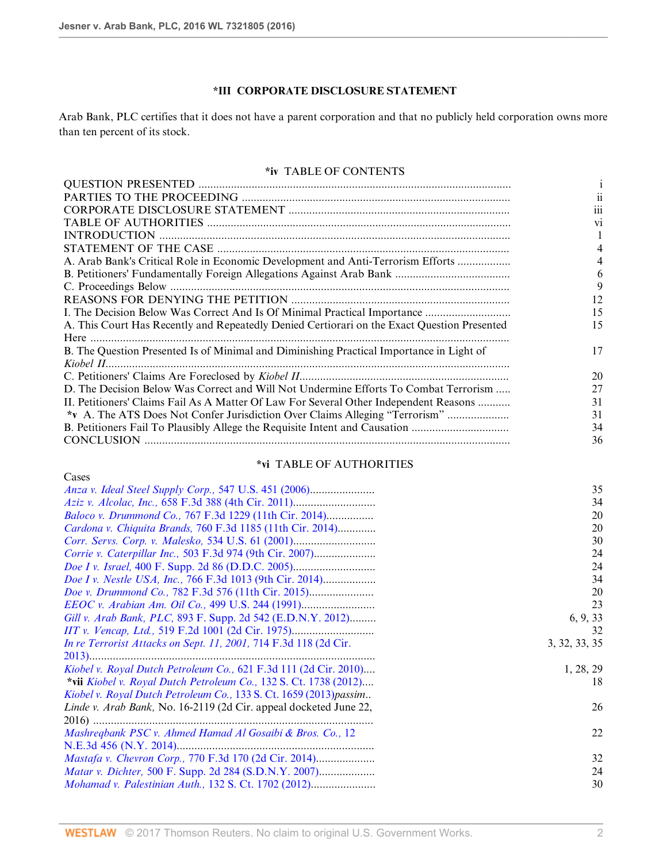Cases

# **\*III CORPORATE DISCLOSURE STATEMENT**

Arab Bank, PLC certifies that it does not have a parent corporation and that no publicly held corporation owns more than ten percent of its stock.

### **\*iv** TABLE OF CONTENTS

|                                                                                             | 111            |
|---------------------------------------------------------------------------------------------|----------------|
|                                                                                             | V <sub>1</sub> |
|                                                                                             |                |
|                                                                                             |                |
| A. Arab Bank's Critical Role in Economic Development and Anti-Terrorism Efforts             |                |
|                                                                                             |                |
|                                                                                             |                |
|                                                                                             | 12             |
| I. The Decision Below Was Correct And Is Of Minimal Practical Importance                    | 15             |
| A. This Court Has Recently and Repeatedly Denied Certiorari on the Exact Question Presented | 15             |
|                                                                                             |                |
| B. The Question Presented Is of Minimal and Diminishing Practical Importance in Light of    | 17             |
|                                                                                             |                |
|                                                                                             | 20             |
| D. The Decision Below Was Correct and Will Not Undermine Efforts To Combat Terrorism        | 27             |
| II. Petitioners' Claims Fail As A Matter Of Law For Several Other Independent Reasons       | 31             |
| *v A. The ATS Does Not Confer Jurisdiction Over Claims Alleging "Terrorism"                 | 31             |
| B. Petitioners Fail To Plausibly Allege the Requisite Intent and Causation                  | 34             |
|                                                                                             | 36             |
|                                                                                             |                |

## **\*vi** TABLE OF AUTHORITIES

|                                                                    | 35            |
|--------------------------------------------------------------------|---------------|
|                                                                    | 34            |
| <i>Baloco v. Drummond Co., 767 F.3d 1229 (11th Cir. 2014)</i>      | 20            |
| Cardona v. Chiquita Brands, 760 F.3d 1185 (11th Cir. 2014)         | 20            |
|                                                                    | 30            |
| <i>Corrie v. Caterpillar Inc., 503 F.3d 974 (9th Cir. 2007)</i>    | 24            |
|                                                                    | 24            |
| Doe I v. Nestle USA, Inc., 766 F.3d 1013 (9th Cir. 2014)           | 34            |
|                                                                    | 20            |
|                                                                    | 23            |
| Gill v. Arab Bank, PLC, 893 F. Supp. 2d 542 (E.D.N.Y. 2012)        | 6, 9, 33      |
|                                                                    | 32            |
| In re Terrorist Attacks on Sept. 11, 2001, 714 F.3d 118 (2d Cir.   | 3, 32, 33, 35 |
|                                                                    |               |
| Kiobel v. Royal Dutch Petroleum Co., 621 F.3d 111 (2d Cir. 2010)   | 1, 28, 29     |
| *vii Kiobel v. Royal Dutch Petroleum Co., 132 S. Ct. 1738 (2012)   | 18            |
| Kiobel v. Royal Dutch Petroleum Co., 133 S. Ct. 1659 (2013) passim |               |
| Linde v. Arab Bank, No. 16-2119 (2d Cir. appeal docketed June 22,  | 26            |
|                                                                    |               |
| Mashreqbank PSC v. Ahmed Hamad Al Gosaibi & Bros. Co., 12          | 22            |
|                                                                    |               |
| <i>Mastafa v. Chevron Corp., 770 F.3d 170 (2d Cir. 2014)</i>       | 32            |
|                                                                    | 24            |
|                                                                    | 30            |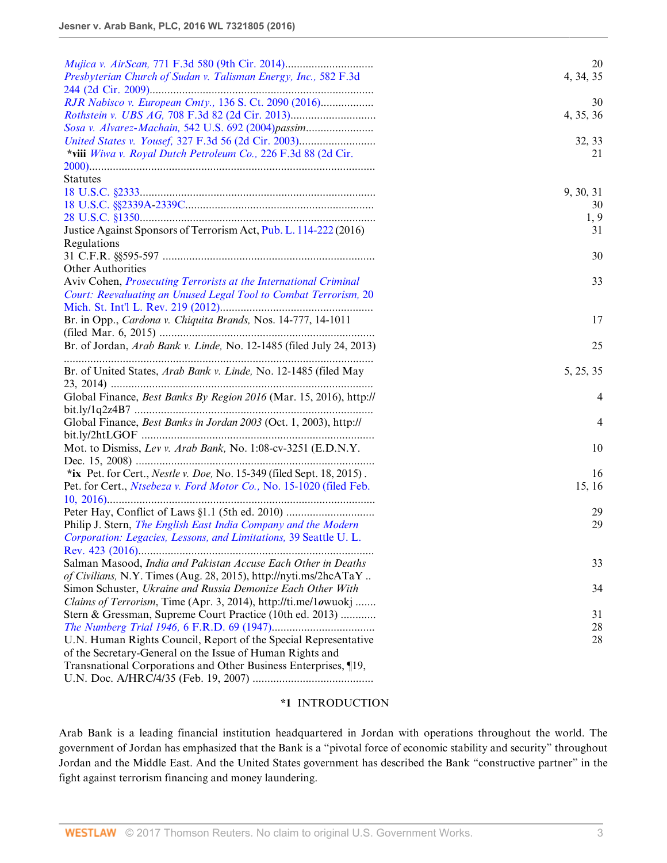| <i>Mujica v. AirScan, 771 F.3d 580 (9th Cir. 2014)</i>                | 20        |
|-----------------------------------------------------------------------|-----------|
| Presbyterian Church of Sudan v. Talisman Energy, Inc., 582 F.3d       | 4, 34, 35 |
|                                                                       |           |
| RJR Nabisco v. European Cmty., 136 S. Ct. 2090 (2016)                 | 30        |
| <i>Rothstein v. UBS AG, 708 F.3d 82 (2d Cir. 2013)</i>                | 4, 35, 36 |
| Sosa v. Alvarez-Machain, 542 U.S. 692 (2004) passim                   |           |
|                                                                       | 32, 33    |
| *viii Wiwa v. Royal Dutch Petroleum Co., 226 F.3d 88 (2d Cir.         | 21        |
| <b>Statutes</b>                                                       |           |
|                                                                       | 9, 30, 31 |
|                                                                       | 30        |
|                                                                       | 1, 9      |
| Justice Against Sponsors of Terrorism Act, Pub. L. 114-222 (2016)     | 31        |
| Regulations                                                           |           |
|                                                                       | 30        |
| <b>Other Authorities</b>                                              |           |
| Aviv Cohen, Prosecuting Terrorists at the International Criminal      | 33        |
| Court: Reevaluating an Unused Legal Tool to Combat Terrorism, 20      |           |
|                                                                       |           |
| Br. in Opp., Cardona v. Chiquita Brands, Nos. 14-777, 14-1011         | 17        |
|                                                                       |           |
| Br. of Jordan, Arab Bank v. Linde, No. 12-1485 (filed July 24, 2013)  | 25        |
|                                                                       |           |
| Br. of United States, Arab Bank v. Linde, No. 12-1485 (filed May      | 5, 25, 35 |
|                                                                       |           |
| Global Finance, Best Banks By Region 2016 (Mar. 15, 2016), http://    | 4         |
|                                                                       |           |
| Global Finance, Best Banks in Jordan 2003 (Oct. 1, 2003), http://     | 4         |
|                                                                       |           |
| Mot. to Dismiss, Lev v. Arab Bank, No. 1:08-cv-3251 (E.D.N.Y.         | 10        |
|                                                                       |           |
| *ix Pet. for Cert., Nestle v. Doe, No. 15-349 (filed Sept. 18, 2015). | 16        |
| Pet. for Cert., Ntsebeza v. Ford Motor Co., No. 15-1020 (filed Feb.   | 15, 16    |
|                                                                       |           |
|                                                                       | 29        |
| Philip J. Stern, The English East India Company and the Modern        | 29        |
| Corporation: Legacies, Lessons, and Limitations, 39 Seattle U.L.      |           |
|                                                                       |           |
| Salman Masood, India and Pakistan Accuse Each Other in Deaths         | 33        |
| of Civilians, N.Y. Times (Aug. 28, 2015), http://nyti.ms/2hcATaY      |           |
| Simon Schuster, Ukraine and Russia Demonize Each Other With           | 34        |
| Claims of Terrorism, Time (Apr. 3, 2014), http://ti.me/1owuokj        |           |
| Stern & Gressman, Supreme Court Practice (10th ed. 2013)              | 31        |
|                                                                       | 28        |
| U.N. Human Rights Council, Report of the Special Representative       | 28        |
| of the Secretary-General on the Issue of Human Rights and             |           |
| Transnational Corporations and Other Business Enterprises, ¶19,       |           |
|                                                                       |           |

### **\*1** INTRODUCTION

Arab Bank is a leading financial institution headquartered in Jordan with operations throughout the world. The government of Jordan has emphasized that the Bank is a "pivotal force of economic stability and security" throughout Jordan and the Middle East. And the United States government has described the Bank "constructive partner" in the fight against terrorism financing and money laundering.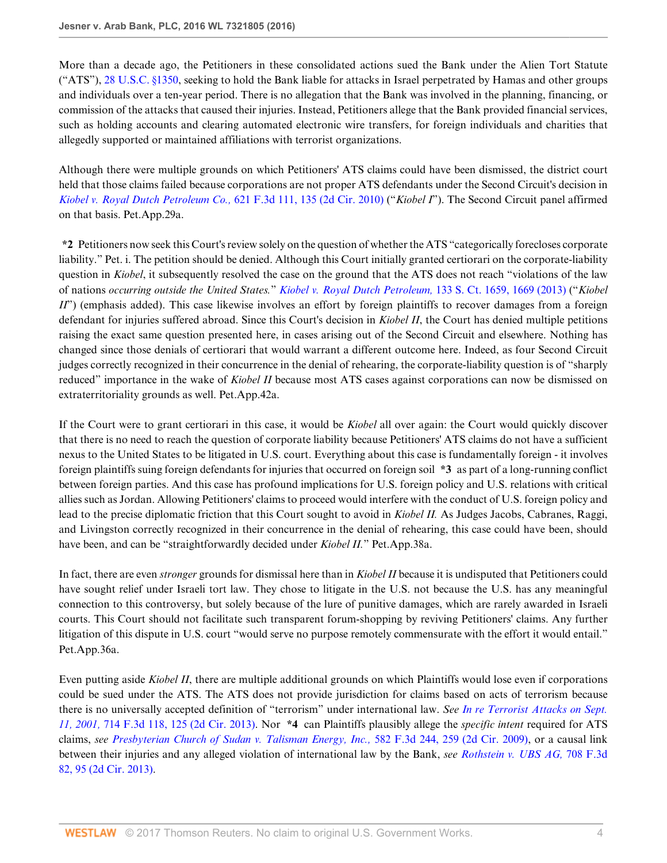More than a decade ago, the Petitioners in these consolidated actions sued the Bank under the Alien Tort Statute ("ATS"), [28 U.S.C. §1350,](http://www.westlaw.com/Link/Document/FullText?findType=L&pubNum=1000546&cite=28USCAS1350&originatingDoc=I1461840bc39411e6b92bf4314c15140f&refType=LQ&originationContext=document&vr=3.0&rs=cblt1.0&transitionType=DocumentItem&contextData=(sc.Search)) seeking to hold the Bank liable for attacks in Israel perpetrated by Hamas and other groups and individuals over a ten-year period. There is no allegation that the Bank was involved in the planning, financing, or commission of the attacks that caused their injuries. Instead, Petitioners allege that the Bank provided financial services, such as holding accounts and clearing automated electronic wire transfers, for foreign individuals and charities that allegedly supported or maintained affiliations with terrorist organizations.

Although there were multiple grounds on which Petitioners' ATS claims could have been dismissed, the district court held that those claims failed because corporations are not proper ATS defendants under the Second Circuit's decision in *[Kiobel v. Royal Dutch Petroleum Co.,](http://www.westlaw.com/Link/Document/FullText?findType=Y&serNum=2023079291&pubNum=0000506&originatingDoc=I1461840bc39411e6b92bf4314c15140f&refType=RP&fi=co_pp_sp_506_135&originationContext=document&vr=3.0&rs=cblt1.0&transitionType=DocumentItem&contextData=(sc.Search)#co_pp_sp_506_135)* 621 F.3d 111, 135 (2d Cir. 2010) ("*Kiobel I*"). The Second Circuit panel affirmed on that basis. Pet.App.29a.

**\*2** Petitioners now seek this Court's review solely on the question of whether the ATS "categorically forecloses corporate liability." Pet. i. The petition should be denied. Although this Court initially granted certiorari on the corporate-liability question in *Kiobel*, it subsequently resolved the case on the ground that the ATS does not reach "violations of the law of nations *occurring outside the United States.*" *[Kiobel v. Royal Dutch Petroleum,](http://www.westlaw.com/Link/Document/FullText?findType=Y&serNum=2030367986&pubNum=0000708&originatingDoc=I1461840bc39411e6b92bf4314c15140f&refType=RP&fi=co_pp_sp_708_1669&originationContext=document&vr=3.0&rs=cblt1.0&transitionType=DocumentItem&contextData=(sc.Search)#co_pp_sp_708_1669)* 133 S. Ct. 1659, 1669 (2013) ("*Kiobel II*") (emphasis added). This case likewise involves an effort by foreign plaintiffs to recover damages from a foreign defendant for injuries suffered abroad. Since this Court's decision in *Kiobel II*, the Court has denied multiple petitions raising the exact same question presented here, in cases arising out of the Second Circuit and elsewhere. Nothing has changed since those denials of certiorari that would warrant a different outcome here. Indeed, as four Second Circuit judges correctly recognized in their concurrence in the denial of rehearing, the corporate-liability question is of "sharply reduced" importance in the wake of *Kiobel II* because most ATS cases against corporations can now be dismissed on extraterritoriality grounds as well. Pet.App.42a.

If the Court were to grant certiorari in this case, it would be *Kiobel* all over again: the Court would quickly discover that there is no need to reach the question of corporate liability because Petitioners' ATS claims do not have a sufficient nexus to the United States to be litigated in U.S. court. Everything about this case is fundamentally foreign - it involves foreign plaintiffs suing foreign defendants for injuries that occurred on foreign soil **\*3** as part of a long-running conflict between foreign parties. And this case has profound implications for U.S. foreign policy and U.S. relations with critical allies such as Jordan. Allowing Petitioners' claims to proceed would interfere with the conduct of U.S. foreign policy and lead to the precise diplomatic friction that this Court sought to avoid in *Kiobel II.* As Judges Jacobs, Cabranes, Raggi, and Livingston correctly recognized in their concurrence in the denial of rehearing, this case could have been, should have been, and can be "straightforwardly decided under *Kiobel II.*" Pet.App.38a.

In fact, there are even *stronger* grounds for dismissal here than in *Kiobel II* because it is undisputed that Petitioners could have sought relief under Israeli tort law. They chose to litigate in the U.S. not because the U.S. has any meaningful connection to this controversy, but solely because of the lure of punitive damages, which are rarely awarded in Israeli courts. This Court should not facilitate such transparent forum-shopping by reviving Petitioners' claims. Any further litigation of this dispute in U.S. court "would serve no purpose remotely commensurate with the effort it would entail." Pet.App.36a.

Even putting aside *Kiobel II*, there are multiple additional grounds on which Plaintiffs would lose even if corporations could be sued under the ATS. The ATS does not provide jurisdiction for claims based on acts of terrorism because there is no universally accepted definition of "terrorism" under international law. *See [In re Terrorist Attacks on Sept.](http://www.westlaw.com/Link/Document/FullText?findType=Y&serNum=2030355529&pubNum=0000506&originatingDoc=I1461840bc39411e6b92bf4314c15140f&refType=RP&fi=co_pp_sp_506_125&originationContext=document&vr=3.0&rs=cblt1.0&transitionType=DocumentItem&contextData=(sc.Search)#co_pp_sp_506_125) 11, 2001,* [714 F.3d 118, 125 \(2d Cir. 2013\)](http://www.westlaw.com/Link/Document/FullText?findType=Y&serNum=2030355529&pubNum=0000506&originatingDoc=I1461840bc39411e6b92bf4314c15140f&refType=RP&fi=co_pp_sp_506_125&originationContext=document&vr=3.0&rs=cblt1.0&transitionType=DocumentItem&contextData=(sc.Search)#co_pp_sp_506_125). Nor **\*4** can Plaintiffs plausibly allege the *specific intent* required for ATS claims, *see [Presbyterian Church of Sudan v. Talisman Energy, Inc.,](http://www.westlaw.com/Link/Document/FullText?findType=Y&serNum=2019944807&pubNum=0000506&originatingDoc=I1461840bc39411e6b92bf4314c15140f&refType=RP&fi=co_pp_sp_506_259&originationContext=document&vr=3.0&rs=cblt1.0&transitionType=DocumentItem&contextData=(sc.Search)#co_pp_sp_506_259)* 582 F.3d 244, 259 (2d Cir. 2009), or a causal link between their injuries and any alleged violation of international law by the Bank, *see [Rothstein v. UBS AG,](http://www.westlaw.com/Link/Document/FullText?findType=Y&serNum=2029858337&pubNum=0000506&originatingDoc=I1461840bc39411e6b92bf4314c15140f&refType=RP&fi=co_pp_sp_506_95&originationContext=document&vr=3.0&rs=cblt1.0&transitionType=DocumentItem&contextData=(sc.Search)#co_pp_sp_506_95)* 708 F.3d [82, 95 \(2d Cir. 2013\)](http://www.westlaw.com/Link/Document/FullText?findType=Y&serNum=2029858337&pubNum=0000506&originatingDoc=I1461840bc39411e6b92bf4314c15140f&refType=RP&fi=co_pp_sp_506_95&originationContext=document&vr=3.0&rs=cblt1.0&transitionType=DocumentItem&contextData=(sc.Search)#co_pp_sp_506_95).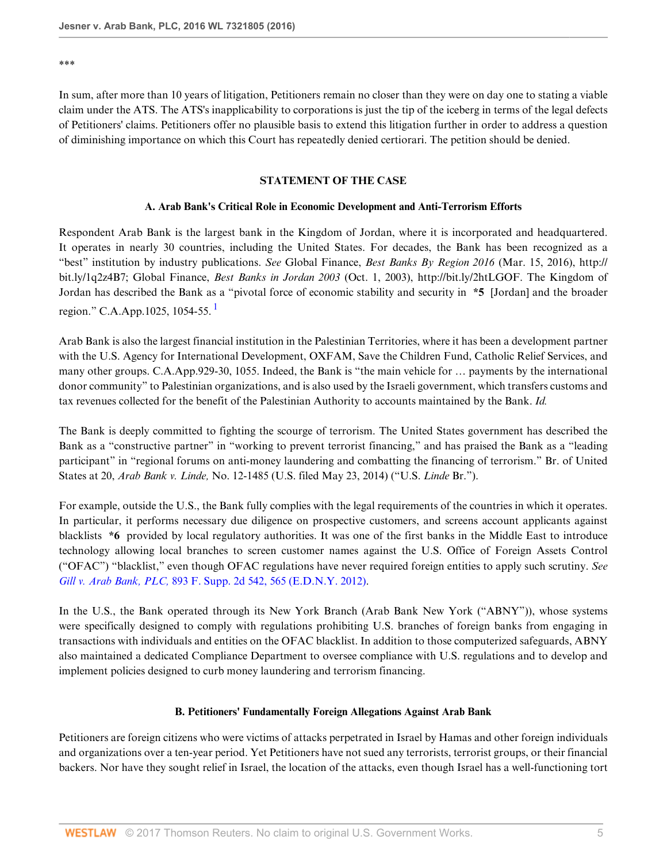\*\*\*

In sum, after more than 10 years of litigation, Petitioners remain no closer than they were on day one to stating a viable claim under the ATS. The ATS's inapplicability to corporations is just the tip of the iceberg in terms of the legal defects of Petitioners' claims. Petitioners offer no plausible basis to extend this litigation further in order to address a question of diminishing importance on which this Court has repeatedly denied certiorari. The petition should be denied.

#### **STATEMENT OF THE CASE**

#### <span id="page-4-0"></span>**A. Arab Bank's Critical Role in Economic Development and Anti-Terrorism Efforts**

Respondent Arab Bank is the largest bank in the Kingdom of Jordan, where it is incorporated and headquartered. It operates in nearly 30 countries, including the United States. For decades, the Bank has been recognized as a "best" institution by industry publications. *See* Global Finance, *Best Banks By Region 2016* (Mar. 15, 2016), http:// bit.ly/1q2z4B7; Global Finance, *Best Banks in Jordan 2003* (Oct. 1, 2003), http://bit.ly/2htLGOF. The Kingdom of Jordan has described the Bank as a "pivotal force of economic stability and security in **\*5** [Jordan] and the broader region." C.A.App.[1](#page-15-0)025, 1054-55.<sup>1</sup>

Arab Bank is also the largest financial institution in the Palestinian Territories, where it has been a development partner with the U.S. Agency for International Development, OXFAM, Save the Children Fund, Catholic Relief Services, and many other groups. C.A.App.929-30, 1055. Indeed, the Bank is "the main vehicle for … payments by the international donor community" to Palestinian organizations, and is also used by the Israeli government, which transfers customs and tax revenues collected for the benefit of the Palestinian Authority to accounts maintained by the Bank. *Id.*

The Bank is deeply committed to fighting the scourge of terrorism. The United States government has described the Bank as a "constructive partner" in "working to prevent terrorist financing," and has praised the Bank as a "leading participant" in "regional forums on anti-money laundering and combatting the financing of terrorism." Br. of United States at 20, *Arab Bank v. Linde,* No. 12-1485 (U.S. filed May 23, 2014) ("U.S. *Linde* Br.").

For example, outside the U.S., the Bank fully complies with the legal requirements of the countries in which it operates. In particular, it performs necessary due diligence on prospective customers, and screens account applicants against blacklists **\*6** provided by local regulatory authorities. It was one of the first banks in the Middle East to introduce technology allowing local branches to screen customer names against the U.S. Office of Foreign Assets Control ("OFAC") "blacklist," even though OFAC regulations have never required foreign entities to apply such scrutiny. *See Gill v. Arab Bank, PLC,* [893 F. Supp. 2d 542, 565 \(E.D.N.Y. 2012\)](http://www.westlaw.com/Link/Document/FullText?findType=Y&serNum=2029142699&pubNum=0004637&originatingDoc=I1461840bc39411e6b92bf4314c15140f&refType=RP&fi=co_pp_sp_4637_565&originationContext=document&vr=3.0&rs=cblt1.0&transitionType=DocumentItem&contextData=(sc.Search)#co_pp_sp_4637_565).

In the U.S., the Bank operated through its New York Branch (Arab Bank New York ("ABNY")), whose systems were specifically designed to comply with regulations prohibiting U.S. branches of foreign banks from engaging in transactions with individuals and entities on the OFAC blacklist. In addition to those computerized safeguards, ABNY also maintained a dedicated Compliance Department to oversee compliance with U.S. regulations and to develop and implement policies designed to curb money laundering and terrorism financing.

#### **B. Petitioners' Fundamentally Foreign Allegations Against Arab Bank**

Petitioners are foreign citizens who were victims of attacks perpetrated in Israel by Hamas and other foreign individuals and organizations over a ten-year period. Yet Petitioners have not sued any terrorists, terrorist groups, or their financial backers. Nor have they sought relief in Israel, the location of the attacks, even though Israel has a well-functioning tort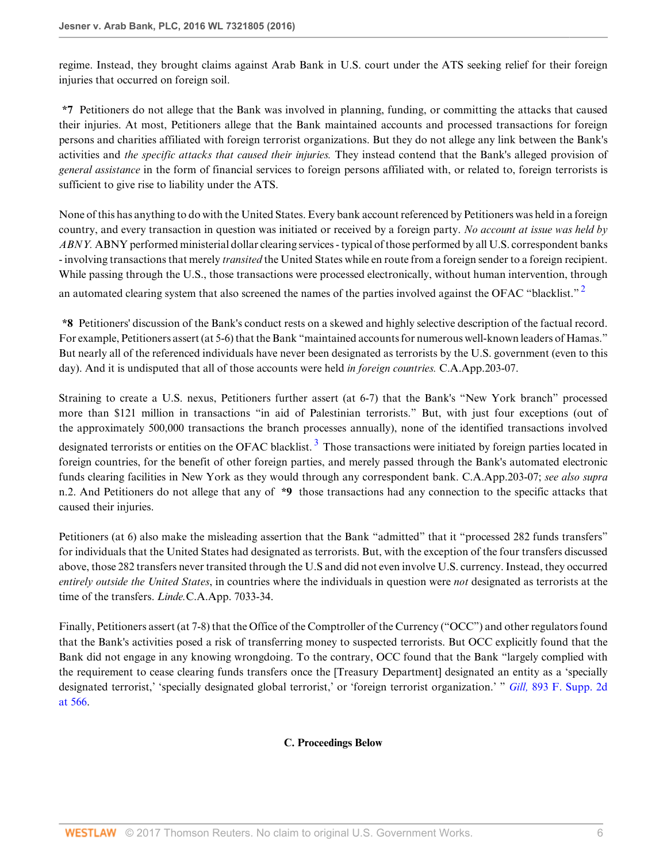regime. Instead, they brought claims against Arab Bank in U.S. court under the ATS seeking relief for their foreign injuries that occurred on foreign soil.

**\*7** Petitioners do not allege that the Bank was involved in planning, funding, or committing the attacks that caused their injuries. At most, Petitioners allege that the Bank maintained accounts and processed transactions for foreign persons and charities affiliated with foreign terrorist organizations. But they do not allege any link between the Bank's activities and *the specific attacks that caused their injuries.* They instead contend that the Bank's alleged provision of *general assistance* in the form of financial services to foreign persons affiliated with, or related to, foreign terrorists is sufficient to give rise to liability under the ATS.

None of this has anything to do with the United States. Every bank account referenced by Petitioners was held in a foreign country, and every transaction in question was initiated or received by a foreign party. *No account at issue was held by ABNY.* ABNY performed ministerial dollar clearing services - typical of those performed by all U.S. correspondent banks - involving transactions that merely *transited* the United States while en route from a foreign sender to a foreign recipient. While passing through the U.S., those transactions were processed electronically, without human intervention, through an automated clearing system that also screened the names of the parties involved against the OFAC "blacklist."<sup>[2](#page-15-1)</sup>

<span id="page-5-0"></span>**\*8** Petitioners' discussion of the Bank's conduct rests on a skewed and highly selective description of the factual record. For example, Petitioners assert (at 5-6) that the Bank "maintained accounts for numerous well-known leaders of Hamas." But nearly all of the referenced individuals have never been designated as terrorists by the U.S. government (even to this day). And it is undisputed that all of those accounts were held *in foreign countries.* C.A.App.203-07.

<span id="page-5-1"></span>Straining to create a U.S. nexus, Petitioners further assert (at 6-7) that the Bank's "New York branch" processed more than \$121 million in transactions "in aid of Palestinian terrorists." But, with just four exceptions (out of the approximately 500,000 transactions the branch processes annually), none of the identified transactions involved designated terrorists or entities on the OFAC blacklist.<sup>[3](#page-15-2)</sup> Those transactions were initiated by foreign parties located in foreign countries, for the benefit of other foreign parties, and merely passed through the Bank's automated electronic funds clearing facilities in New York as they would through any correspondent bank. C.A.App.203-07; *see also supra* n.2. And Petitioners do not allege that any of **\*9** those transactions had any connection to the specific attacks that caused their injuries.

Petitioners (at 6) also make the misleading assertion that the Bank "admitted" that it "processed 282 funds transfers" for individuals that the United States had designated as terrorists. But, with the exception of the four transfers discussed above, those 282 transfers never transited through the U.S and did not even involve U.S. currency. Instead, they occurred *entirely outside the United States*, in countries where the individuals in question were *not* designated as terrorists at the time of the transfers. *Linde.*C.A.App. 7033-34.

Finally, Petitioners assert (at 7-8) that the Office of the Comptroller of the Currency ("OCC") and other regulators found that the Bank's activities posed a risk of transferring money to suspected terrorists. But OCC explicitly found that the Bank did not engage in any knowing wrongdoing. To the contrary, OCC found that the Bank "largely complied with the requirement to cease clearing funds transfers once the [Treasury Department] designated an entity as a 'specially designated terrorist,' 'specially designated global terrorist,' or 'foreign terrorist organization.' " *Gill,* [893 F. Supp. 2d](http://www.westlaw.com/Link/Document/FullText?findType=Y&serNum=2029142699&pubNum=0004637&originatingDoc=I1461840bc39411e6b92bf4314c15140f&refType=RP&fi=co_pp_sp_4637_566&originationContext=document&vr=3.0&rs=cblt1.0&transitionType=DocumentItem&contextData=(sc.Search)#co_pp_sp_4637_566) [at 566.](http://www.westlaw.com/Link/Document/FullText?findType=Y&serNum=2029142699&pubNum=0004637&originatingDoc=I1461840bc39411e6b92bf4314c15140f&refType=RP&fi=co_pp_sp_4637_566&originationContext=document&vr=3.0&rs=cblt1.0&transitionType=DocumentItem&contextData=(sc.Search)#co_pp_sp_4637_566)

#### **C. Proceedings Below**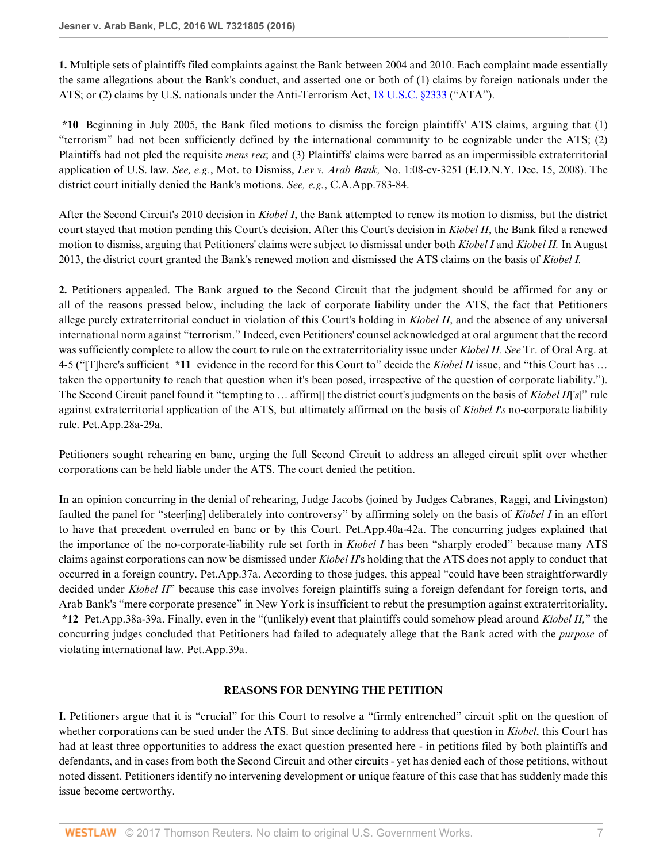**1.** Multiple sets of plaintiffs filed complaints against the Bank between 2004 and 2010. Each complaint made essentially the same allegations about the Bank's conduct, and asserted one or both of (1) claims by foreign nationals under the ATS; or (2) claims by U.S. nationals under the Anti-Terrorism Act, [18 U.S.C. §2333](http://www.westlaw.com/Link/Document/FullText?findType=L&pubNum=1000546&cite=18USCAS2333&originatingDoc=I1461840bc39411e6b92bf4314c15140f&refType=LQ&originationContext=document&vr=3.0&rs=cblt1.0&transitionType=DocumentItem&contextData=(sc.Search)) ("ATA").

**\*10** Beginning in July 2005, the Bank filed motions to dismiss the foreign plaintiffs' ATS claims, arguing that (1) "terrorism" had not been sufficiently defined by the international community to be cognizable under the ATS; (2) Plaintiffs had not pled the requisite *mens rea*; and (3) Plaintiffs' claims were barred as an impermissible extraterritorial application of U.S. law. *See, e.g.*, Mot. to Dismiss, *Lev v. Arab Bank,* No. 1:08-cv-3251 (E.D.N.Y. Dec. 15, 2008). The district court initially denied the Bank's motions. *See, e.g.*, C.A.App.783-84.

After the Second Circuit's 2010 decision in *Kiobel I*, the Bank attempted to renew its motion to dismiss, but the district court stayed that motion pending this Court's decision. After this Court's decision in *Kiobel II*, the Bank filed a renewed motion to dismiss, arguing that Petitioners' claims were subject to dismissal under both *Kiobel I* and *Kiobel II.* In August 2013, the district court granted the Bank's renewed motion and dismissed the ATS claims on the basis of *Kiobel I.*

**2.** Petitioners appealed. The Bank argued to the Second Circuit that the judgment should be affirmed for any or all of the reasons pressed below, including the lack of corporate liability under the ATS, the fact that Petitioners allege purely extraterritorial conduct in violation of this Court's holding in *Kiobel II*, and the absence of any universal international norm against "terrorism." Indeed, even Petitioners' counsel acknowledged at oral argument that the record was sufficiently complete to allow the court to rule on the extraterritoriality issue under *Kiobel II. See* Tr. of Oral Arg. at 4-5 ("[T]here's sufficient **\*11** evidence in the record for this Court to" decide the *Kiobel II* issue, and "this Court has … taken the opportunity to reach that question when it's been posed, irrespective of the question of corporate liability."). The Second Circuit panel found it "tempting to … affirm[] the district court's judgments on the basis of *Kiobel II*[*'s*]" rule against extraterritorial application of the ATS, but ultimately affirmed on the basis of *Kiobel I's* no-corporate liability rule. Pet.App.28a-29a.

Petitioners sought rehearing en banc, urging the full Second Circuit to address an alleged circuit split over whether corporations can be held liable under the ATS. The court denied the petition.

In an opinion concurring in the denial of rehearing, Judge Jacobs (joined by Judges Cabranes, Raggi, and Livingston) faulted the panel for "steer[ing] deliberately into controversy" by affirming solely on the basis of *Kiobel I* in an effort to have that precedent overruled en banc or by this Court. Pet.App.40a-42a. The concurring judges explained that the importance of the no-corporate-liability rule set forth in *Kiobel I* has been "sharply eroded" because many ATS claims against corporations can now be dismissed under *Kiobel II*'s holding that the ATS does not apply to conduct that occurred in a foreign country. Pet.App.37a. According to those judges, this appeal "could have been straightforwardly decided under *Kiobel II*" because this case involves foreign plaintiffs suing a foreign defendant for foreign torts, and Arab Bank's "mere corporate presence" in New York is insufficient to rebut the presumption against extraterritoriality. **\*12** Pet.App.38a-39a. Finally, even in the "(unlikely) event that plaintiffs could somehow plead around *Kiobel II,*" the concurring judges concluded that Petitioners had failed to adequately allege that the Bank acted with the *purpose* of violating international law. Pet.App.39a.

#### **REASONS FOR DENYING THE PETITION**

**I.** Petitioners argue that it is "crucial" for this Court to resolve a "firmly entrenched" circuit split on the question of whether corporations can be sued under the ATS. But since declining to address that question in *Kiobel*, this Court has had at least three opportunities to address the exact question presented here - in petitions filed by both plaintiffs and defendants, and in cases from both the Second Circuit and other circuits - yet has denied each of those petitions, without noted dissent. Petitioners identify no intervening development or unique feature of this case that has suddenly made this issue become certworthy.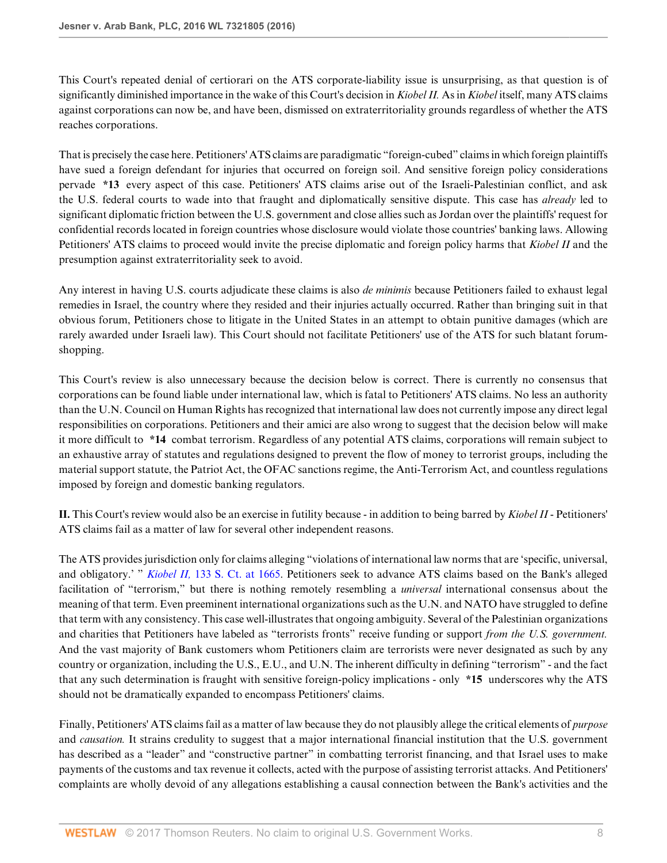This Court's repeated denial of certiorari on the ATS corporate-liability issue is unsurprising, as that question is of significantly diminished importance in the wake of this Court's decision in *Kiobel II.* As in *Kiobel* itself, many ATS claims against corporations can now be, and have been, dismissed on extraterritoriality grounds regardless of whether the ATS reaches corporations.

That is precisely the case here. Petitioners' ATS claims are paradigmatic "foreign-cubed" claims in which foreign plaintiffs have sued a foreign defendant for injuries that occurred on foreign soil. And sensitive foreign policy considerations pervade **\*13** every aspect of this case. Petitioners' ATS claims arise out of the Israeli-Palestinian conflict, and ask the U.S. federal courts to wade into that fraught and diplomatically sensitive dispute. This case has *already* led to significant diplomatic friction between the U.S. government and close allies such as Jordan over the plaintiffs' request for confidential records located in foreign countries whose disclosure would violate those countries' banking laws. Allowing Petitioners' ATS claims to proceed would invite the precise diplomatic and foreign policy harms that *Kiobel II* and the presumption against extraterritoriality seek to avoid.

Any interest in having U.S. courts adjudicate these claims is also *de minimis* because Petitioners failed to exhaust legal remedies in Israel, the country where they resided and their injuries actually occurred. Rather than bringing suit in that obvious forum, Petitioners chose to litigate in the United States in an attempt to obtain punitive damages (which are rarely awarded under Israeli law). This Court should not facilitate Petitioners' use of the ATS for such blatant forumshopping.

This Court's review is also unnecessary because the decision below is correct. There is currently no consensus that corporations can be found liable under international law, which is fatal to Petitioners' ATS claims. No less an authority than the U.N. Council on Human Rights has recognized that international law does not currently impose any direct legal responsibilities on corporations. Petitioners and their amici are also wrong to suggest that the decision below will make it more difficult to **\*14** combat terrorism. Regardless of any potential ATS claims, corporations will remain subject to an exhaustive array of statutes and regulations designed to prevent the flow of money to terrorist groups, including the material support statute, the Patriot Act, the OFAC sanctions regime, the Anti-Terrorism Act, and countless regulations imposed by foreign and domestic banking regulators.

**II.** This Court's review would also be an exercise in futility because - in addition to being barred by *Kiobel II* - Petitioners' ATS claims fail as a matter of law for several other independent reasons.

The ATS provides jurisdiction only for claims alleging "violations of international law norms that are 'specific, universal, and obligatory.' " *Kiobel II,* [133 S. Ct. at 1665](http://www.westlaw.com/Link/Document/FullText?findType=Y&serNum=2030367986&pubNum=0000708&originatingDoc=I1461840bc39411e6b92bf4314c15140f&refType=RP&fi=co_pp_sp_708_1665&originationContext=document&vr=3.0&rs=cblt1.0&transitionType=DocumentItem&contextData=(sc.Search)#co_pp_sp_708_1665). Petitioners seek to advance ATS claims based on the Bank's alleged facilitation of "terrorism," but there is nothing remotely resembling a *universal* international consensus about the meaning of that term. Even preeminent international organizations such as the U.N. and NATO have struggled to define that term with any consistency. This case well-illustrates that ongoing ambiguity. Several of the Palestinian organizations and charities that Petitioners have labeled as "terrorists fronts" receive funding or support *from the U.S. government.* And the vast majority of Bank customers whom Petitioners claim are terrorists were never designated as such by any country or organization, including the U.S., E.U., and U.N. The inherent difficulty in defining "terrorism" - and the fact that any such determination is fraught with sensitive foreign-policy implications - only **\*15** underscores why the ATS should not be dramatically expanded to encompass Petitioners' claims.

Finally, Petitioners' ATS claims fail as a matter of law because they do not plausibly allege the critical elements of *purpose* and *causation.* It strains credulity to suggest that a major international financial institution that the U.S. government has described as a "leader" and "constructive partner" in combatting terrorist financing, and that Israel uses to make payments of the customs and tax revenue it collects, acted with the purpose of assisting terrorist attacks. And Petitioners' complaints are wholly devoid of any allegations establishing a causal connection between the Bank's activities and the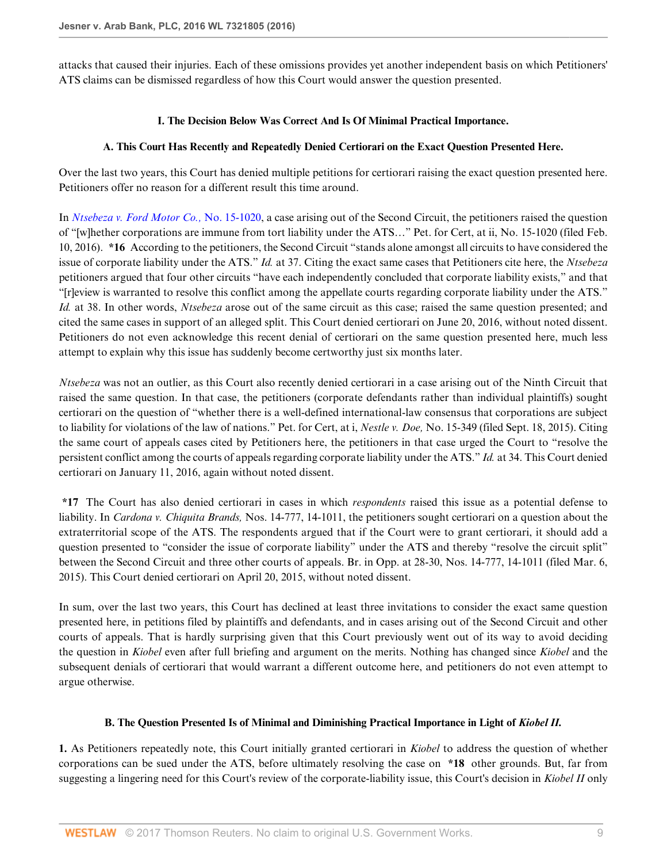attacks that caused their injuries. Each of these omissions provides yet another independent basis on which Petitioners' ATS claims can be dismissed regardless of how this Court would answer the question presented.

#### **I. The Decision Below Was Correct And Is Of Minimal Practical Importance.**

#### **A. This Court Has Recently and Repeatedly Denied Certiorari on the Exact Question Presented Here.**

Over the last two years, this Court has denied multiple petitions for certiorari raising the exact question presented here. Petitioners offer no reason for a different result this time around.

In *[Ntsebeza v. Ford Motor Co.,](http://www.westlaw.com/Link/Document/FullText?findType=Y&serNum=2038284210&pubNum=0004031&originatingDoc=I1461840bc39411e6b92bf4314c15140f&refType=RP&originationContext=document&vr=3.0&rs=cblt1.0&transitionType=DocumentItem&contextData=(sc.Search))* No. 15-1020, a case arising out of the Second Circuit, the petitioners raised the question of "[w]hether corporations are immune from tort liability under the ATS…" Pet. for Cert, at ii, No. 15-1020 (filed Feb. 10, 2016). **\*16** According to the petitioners, the Second Circuit "stands alone amongst all circuits to have considered the issue of corporate liability under the ATS." *Id.* at 37. Citing the exact same cases that Petitioners cite here, the *Ntsebeza* petitioners argued that four other circuits "have each independently concluded that corporate liability exists," and that "[r]eview is warranted to resolve this conflict among the appellate courts regarding corporate liability under the ATS." *Id.* at 38. In other words, *Ntsebeza* arose out of the same circuit as this case; raised the same question presented; and cited the same cases in support of an alleged split. This Court denied certiorari on June 20, 2016, without noted dissent. Petitioners do not even acknowledge this recent denial of certiorari on the same question presented here, much less attempt to explain why this issue has suddenly become certworthy just six months later.

*Ntsebeza* was not an outlier, as this Court also recently denied certiorari in a case arising out of the Ninth Circuit that raised the same question. In that case, the petitioners (corporate defendants rather than individual plaintiffs) sought certiorari on the question of "whether there is a well-defined international-law consensus that corporations are subject to liability for violations of the law of nations." Pet. for Cert, at i, *Nestle v. Doe,* No. 15-349 (filed Sept. 18, 2015). Citing the same court of appeals cases cited by Petitioners here, the petitioners in that case urged the Court to "resolve the persistent conflict among the courts of appeals regarding corporate liability under the ATS." *Id.* at 34. This Court denied certiorari on January 11, 2016, again without noted dissent.

**\*17** The Court has also denied certiorari in cases in which *respondents* raised this issue as a potential defense to liability. In *Cardona v. Chiquita Brands,* Nos. 14-777, 14-1011, the petitioners sought certiorari on a question about the extraterritorial scope of the ATS. The respondents argued that if the Court were to grant certiorari, it should add a question presented to "consider the issue of corporate liability" under the ATS and thereby "resolve the circuit split" between the Second Circuit and three other courts of appeals. Br. in Opp. at 28-30, Nos. 14-777, 14-1011 (filed Mar. 6, 2015). This Court denied certiorari on April 20, 2015, without noted dissent.

In sum, over the last two years, this Court has declined at least three invitations to consider the exact same question presented here, in petitions filed by plaintiffs and defendants, and in cases arising out of the Second Circuit and other courts of appeals. That is hardly surprising given that this Court previously went out of its way to avoid deciding the question in *Kiobel* even after full briefing and argument on the merits. Nothing has changed since *Kiobel* and the subsequent denials of certiorari that would warrant a different outcome here, and petitioners do not even attempt to argue otherwise.

#### **B. The Question Presented Is of Minimal and Diminishing Practical Importance in Light of** *Kiobel II.*

**1.** As Petitioners repeatedly note, this Court initially granted certiorari in *Kiobel* to address the question of whether corporations can be sued under the ATS, before ultimately resolving the case on **\*18** other grounds. But, far from suggesting a lingering need for this Court's review of the corporate-liability issue, this Court's decision in *Kiobel II* only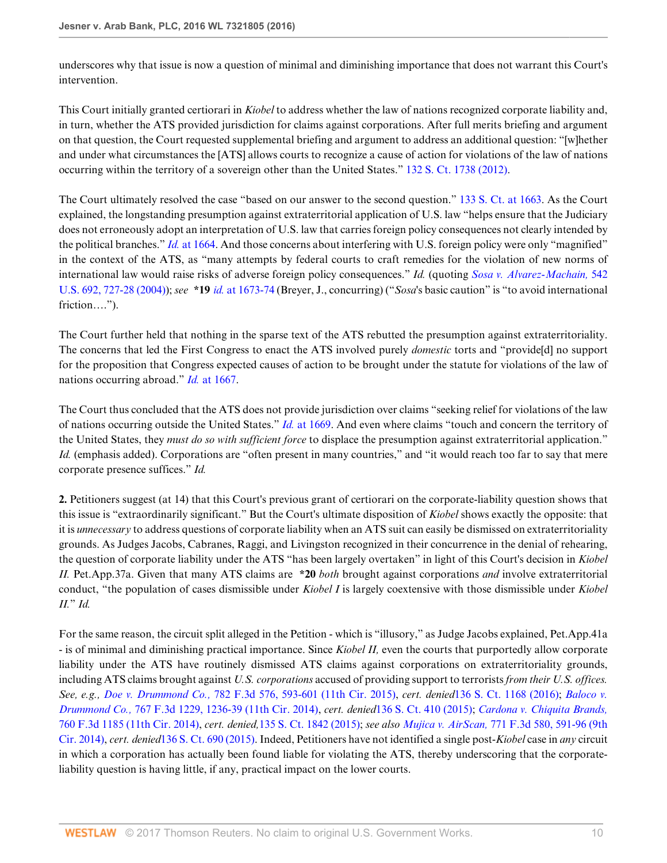underscores why that issue is now a question of minimal and diminishing importance that does not warrant this Court's intervention.

This Court initially granted certiorari in *Kiobel* to address whether the law of nations recognized corporate liability and, in turn, whether the ATS provided jurisdiction for claims against corporations. After full merits briefing and argument on that question, the Court requested supplemental briefing and argument to address an additional question: "[w]hether and under what circumstances the [ATS] allows courts to recognize a cause of action for violations of the law of nations occurring within the territory of a sovereign other than the United States." [132 S. Ct. 1738 \(2012\).](http://www.westlaw.com/Link/Document/FullText?findType=Y&serNum=2027248135&pubNum=0000708&originatingDoc=I1461840bc39411e6b92bf4314c15140f&refType=RP&originationContext=document&vr=3.0&rs=cblt1.0&transitionType=DocumentItem&contextData=(sc.Search))

The Court ultimately resolved the case "based on our answer to the second question." [133 S. Ct. at 1663](http://www.westlaw.com/Link/Document/FullText?findType=Y&serNum=2030367986&pubNum=0000708&originatingDoc=I1461840bc39411e6b92bf4314c15140f&refType=RP&fi=co_pp_sp_708_1663&originationContext=document&vr=3.0&rs=cblt1.0&transitionType=DocumentItem&contextData=(sc.Search)#co_pp_sp_708_1663). As the Court explained, the longstanding presumption against extraterritorial application of U.S. law "helps ensure that the Judiciary does not erroneously adopt an interpretation of U.S. law that carries foreign policy consequences not clearly intended by the political branches." *Id.* [at 1664.](http://www.westlaw.com/Link/Document/FullText?findType=Y&serNum=2030367986&pubNum=0000708&originatingDoc=I1461840bc39411e6b92bf4314c15140f&refType=RP&fi=co_pp_sp_708_1664&originationContext=document&vr=3.0&rs=cblt1.0&transitionType=DocumentItem&contextData=(sc.Search)#co_pp_sp_708_1664) And those concerns about interfering with U.S. foreign policy were only "magnified" in the context of the ATS, as "many attempts by federal courts to craft remedies for the violation of new norms of international law would raise risks of adverse foreign policy consequences." *Id.* (quoting *[Sosa v. Alvarez-Machain,](http://www.westlaw.com/Link/Document/FullText?findType=Y&serNum=2004637442&pubNum=0000780&originatingDoc=I1461840bc39411e6b92bf4314c15140f&refType=RP&fi=co_pp_sp_780_727&originationContext=document&vr=3.0&rs=cblt1.0&transitionType=DocumentItem&contextData=(sc.Search)#co_pp_sp_780_727)* 542 [U.S. 692, 727-28 \(2004\)](http://www.westlaw.com/Link/Document/FullText?findType=Y&serNum=2004637442&pubNum=0000780&originatingDoc=I1461840bc39411e6b92bf4314c15140f&refType=RP&fi=co_pp_sp_780_727&originationContext=document&vr=3.0&rs=cblt1.0&transitionType=DocumentItem&contextData=(sc.Search)#co_pp_sp_780_727)); *see* **\*19** *id.* [at 1673-74](http://www.westlaw.com/Link/Document/FullText?findType=Y&serNum=2030367986&pubNum=0000708&originatingDoc=I1461840bc39411e6b92bf4314c15140f&refType=RP&fi=co_pp_sp_708_1673&originationContext=document&vr=3.0&rs=cblt1.0&transitionType=DocumentItem&contextData=(sc.Search)#co_pp_sp_708_1673) (Breyer, J., concurring) ("*Sosa*'s basic caution" is "to avoid international friction….").

The Court further held that nothing in the sparse text of the ATS rebutted the presumption against extraterritoriality. The concerns that led the First Congress to enact the ATS involved purely *domestic* torts and "provide[d] no support for the proposition that Congress expected causes of action to be brought under the statute for violations of the law of nations occurring abroad." *Id.* [at 1667.](http://www.westlaw.com/Link/Document/FullText?findType=Y&serNum=2030367986&pubNum=0000708&originatingDoc=I1461840bc39411e6b92bf4314c15140f&refType=RP&fi=co_pp_sp_708_1667&originationContext=document&vr=3.0&rs=cblt1.0&transitionType=DocumentItem&contextData=(sc.Search)#co_pp_sp_708_1667)

The Court thus concluded that the ATS does not provide jurisdiction over claims "seeking relief for violations of the law of nations occurring outside the United States." *Id.* [at 1669.](http://www.westlaw.com/Link/Document/FullText?findType=Y&serNum=2030367986&pubNum=0000708&originatingDoc=I1461840bc39411e6b92bf4314c15140f&refType=RP&fi=co_pp_sp_708_1669&originationContext=document&vr=3.0&rs=cblt1.0&transitionType=DocumentItem&contextData=(sc.Search)#co_pp_sp_708_1669) And even where claims "touch and concern the territory of the United States, they *must do so with sufficient force* to displace the presumption against extraterritorial application." *Id.* (emphasis added). Corporations are "often present in many countries," and "it would reach too far to say that mere corporate presence suffices." *Id.*

**2.** Petitioners suggest (at 14) that this Court's previous grant of certiorari on the corporate-liability question shows that this issue is "extraordinarily significant." But the Court's ultimate disposition of *Kiobel* shows exactly the opposite: that it is *unnecessary* to address questions of corporate liability when an ATS suit can easily be dismissed on extraterritoriality grounds. As Judges Jacobs, Cabranes, Raggi, and Livingston recognized in their concurrence in the denial of rehearing, the question of corporate liability under the ATS "has been largely overtaken" in light of this Court's decision in *Kiobel II.* Pet.App.37a. Given that many ATS claims are **\*20** *both* brought against corporations *and* involve extraterritorial conduct, "the population of cases dismissible under *Kiobel I* is largely coextensive with those dismissible under *Kiobel II.*" *Id.*

For the same reason, the circuit split alleged in the Petition - which is "illusory," as Judge Jacobs explained, Pet.App.41a - is of minimal and diminishing practical importance. Since *Kiobel II,* even the courts that purportedly allow corporate liability under the ATS have routinely dismissed ATS claims against corporations on extraterritoriality grounds, including ATS claims brought against *U.S. corporations* accused of providing support to terrorists *from their U.S. offices. See, e.g., Doe v. Drummond Co.,* [782 F.3d 576, 593-601 \(11th Cir. 2015\)](http://www.westlaw.com/Link/Document/FullText?findType=Y&serNum=2035676473&pubNum=0000506&originatingDoc=I1461840bc39411e6b92bf4314c15140f&refType=RP&fi=co_pp_sp_506_593&originationContext=document&vr=3.0&rs=cblt1.0&transitionType=DocumentItem&contextData=(sc.Search)#co_pp_sp_506_593), *cert. denied*[136 S. Ct. 1168 \(2016\)](http://www.westlaw.com/Link/Document/FullText?findType=Y&serNum=2037709996&pubNum=0000708&originatingDoc=I1461840bc39411e6b92bf4314c15140f&refType=RP&originationContext=document&vr=3.0&rs=cblt1.0&transitionType=DocumentItem&contextData=(sc.Search)); *[Baloco v.](http://www.westlaw.com/Link/Document/FullText?findType=Y&serNum=2034360942&pubNum=0000506&originatingDoc=I1461840bc39411e6b92bf4314c15140f&refType=RP&fi=co_pp_sp_506_1236&originationContext=document&vr=3.0&rs=cblt1.0&transitionType=DocumentItem&contextData=(sc.Search)#co_pp_sp_506_1236) Drummond Co.,* [767 F.3d 1229, 1236-39 \(11th Cir. 2014\)](http://www.westlaw.com/Link/Document/FullText?findType=Y&serNum=2034360942&pubNum=0000506&originatingDoc=I1461840bc39411e6b92bf4314c15140f&refType=RP&fi=co_pp_sp_506_1236&originationContext=document&vr=3.0&rs=cblt1.0&transitionType=DocumentItem&contextData=(sc.Search)#co_pp_sp_506_1236), *cert. denied*[136 S. Ct. 410 \(2015\);](http://www.westlaw.com/Link/Document/FullText?findType=Y&serNum=2037067932&pubNum=0000708&originatingDoc=I1461840bc39411e6b92bf4314c15140f&refType=RP&originationContext=document&vr=3.0&rs=cblt1.0&transitionType=DocumentItem&contextData=(sc.Search)) *[Cardona v. Chiquita Brands,](http://www.westlaw.com/Link/Document/FullText?findType=Y&serNum=2033901455&pubNum=0000506&originatingDoc=I1461840bc39411e6b92bf4314c15140f&refType=RP&originationContext=document&vr=3.0&rs=cblt1.0&transitionType=DocumentItem&contextData=(sc.Search))* [760 F.3d 1185 \(11th Cir. 2014\),](http://www.westlaw.com/Link/Document/FullText?findType=Y&serNum=2033901455&pubNum=0000506&originatingDoc=I1461840bc39411e6b92bf4314c15140f&refType=RP&originationContext=document&vr=3.0&rs=cblt1.0&transitionType=DocumentItem&contextData=(sc.Search)) *cert. denied,*[135 S. Ct. 1842 \(2015\);](http://www.westlaw.com/Link/Document/FullText?findType=Y&serNum=2035213443&pubNum=0000708&originatingDoc=I1461840bc39411e6b92bf4314c15140f&refType=RP&originationContext=document&vr=3.0&rs=cblt1.0&transitionType=DocumentItem&contextData=(sc.Search)) *see also Mujica v. AirScan,* [771 F.3d 580, 591-96 \(9th](http://www.westlaw.com/Link/Document/FullText?findType=Y&serNum=2034765414&pubNum=0000506&originatingDoc=I1461840bc39411e6b92bf4314c15140f&refType=RP&fi=co_pp_sp_506_591&originationContext=document&vr=3.0&rs=cblt1.0&transitionType=DocumentItem&contextData=(sc.Search)#co_pp_sp_506_591) [Cir. 2014\),](http://www.westlaw.com/Link/Document/FullText?findType=Y&serNum=2034765414&pubNum=0000506&originatingDoc=I1461840bc39411e6b92bf4314c15140f&refType=RP&fi=co_pp_sp_506_591&originationContext=document&vr=3.0&rs=cblt1.0&transitionType=DocumentItem&contextData=(sc.Search)#co_pp_sp_506_591) *cert. denied*[136 S. Ct. 690 \(2015\).](http://www.westlaw.com/Link/Document/FullText?findType=Y&serNum=2037097241&pubNum=0000708&originatingDoc=I1461840bc39411e6b92bf4314c15140f&refType=RP&originationContext=document&vr=3.0&rs=cblt1.0&transitionType=DocumentItem&contextData=(sc.Search)) Indeed, Petitioners have not identified a single post-*Kiobel* case in *any* circuit in which a corporation has actually been found liable for violating the ATS, thereby underscoring that the corporateliability question is having little, if any, practical impact on the lower courts.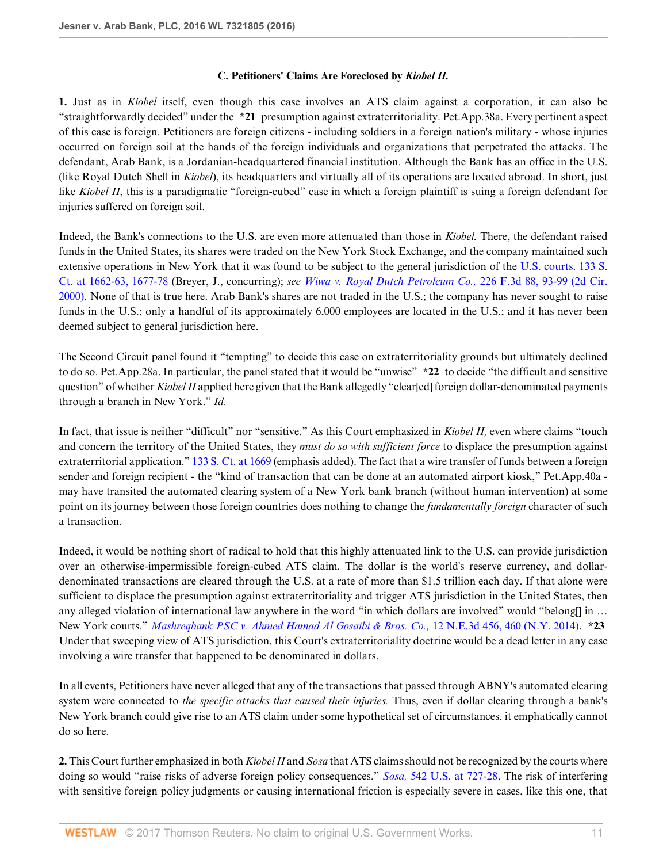#### **C. Petitioners' Claims Are Foreclosed by** *Kiobel II.*

**1.** Just as in *Kiobel* itself, even though this case involves an ATS claim against a corporation, it can also be "straightforwardly decided" under the **\*21** presumption against extraterritoriality. Pet.App.38a. Every pertinent aspect of this case is foreign. Petitioners are foreign citizens - including soldiers in a foreign nation's military - whose injuries occurred on foreign soil at the hands of the foreign individuals and organizations that perpetrated the attacks. The defendant, Arab Bank, is a Jordanian-headquartered financial institution. Although the Bank has an office in the U.S. (like Royal Dutch Shell in *Kiobel*), its headquarters and virtually all of its operations are located abroad. In short, just like *Kiobel II*, this is a paradigmatic "foreign-cubed" case in which a foreign plaintiff is suing a foreign defendant for injuries suffered on foreign soil.

Indeed, the Bank's connections to the U.S. are even more attenuated than those in *Kiobel.* There, the defendant raised funds in the United States, its shares were traded on the New York Stock Exchange, and the company maintained such extensive operations in New York that it was found to be subject to the general jurisdiction of the [U.S. courts. 133 S.](http://www.westlaw.com/Link/Document/FullText?findType=Y&serNum=2030367986&pubNum=0000708&originatingDoc=I1461840bc39411e6b92bf4314c15140f&refType=RP&fi=co_pp_sp_708_1662&originationContext=document&vr=3.0&rs=cblt1.0&transitionType=DocumentItem&contextData=(sc.Search)#co_pp_sp_708_1662) [Ct. at 1662-63, 1677-78](http://www.westlaw.com/Link/Document/FullText?findType=Y&serNum=2030367986&pubNum=0000708&originatingDoc=I1461840bc39411e6b92bf4314c15140f&refType=RP&fi=co_pp_sp_708_1662&originationContext=document&vr=3.0&rs=cblt1.0&transitionType=DocumentItem&contextData=(sc.Search)#co_pp_sp_708_1662) (Breyer, J., concurring); *see [Wiwa v. Royal Dutch Petroleum Co.,](http://www.westlaw.com/Link/Document/FullText?findType=Y&serNum=2000518603&pubNum=0000506&originatingDoc=I1461840bc39411e6b92bf4314c15140f&refType=RP&fi=co_pp_sp_506_93&originationContext=document&vr=3.0&rs=cblt1.0&transitionType=DocumentItem&contextData=(sc.Search)#co_pp_sp_506_93)* 226 F.3d 88, 93-99 (2d Cir. [2000\)](http://www.westlaw.com/Link/Document/FullText?findType=Y&serNum=2000518603&pubNum=0000506&originatingDoc=I1461840bc39411e6b92bf4314c15140f&refType=RP&fi=co_pp_sp_506_93&originationContext=document&vr=3.0&rs=cblt1.0&transitionType=DocumentItem&contextData=(sc.Search)#co_pp_sp_506_93). None of that is true here. Arab Bank's shares are not traded in the U.S.; the company has never sought to raise funds in the U.S.; only a handful of its approximately 6,000 employees are located in the U.S.; and it has never been deemed subject to general jurisdiction here.

The Second Circuit panel found it "tempting" to decide this case on extraterritoriality grounds but ultimately declined to do so. Pet.App.28a. In particular, the panel stated that it would be "unwise" **\*22** to decide "the difficult and sensitive question" of whether *Kiobel II* applied here given that the Bank allegedly "clear[ed] foreign dollar-denominated payments through a branch in New York." *Id.*

In fact, that issue is neither "difficult" nor "sensitive." As this Court emphasized in *Kiobel II,* even where claims "touch and concern the territory of the United States, they *must do so with sufficient force* to displace the presumption against extraterritorial application." [133 S. Ct. at 1669](http://www.westlaw.com/Link/Document/FullText?findType=Y&serNum=2030367986&pubNum=0000708&originatingDoc=I1461840bc39411e6b92bf4314c15140f&refType=RP&fi=co_pp_sp_708_1669&originationContext=document&vr=3.0&rs=cblt1.0&transitionType=DocumentItem&contextData=(sc.Search)#co_pp_sp_708_1669) (emphasis added). The fact that a wire transfer of funds between a foreign sender and foreign recipient - the "kind of transaction that can be done at an automated airport kiosk," Pet.App.40a may have transited the automated clearing system of a New York bank branch (without human intervention) at some point on its journey between those foreign countries does nothing to change the *fundamentally foreign* character of such a transaction.

Indeed, it would be nothing short of radical to hold that this highly attenuated link to the U.S. can provide jurisdiction over an otherwise-impermissible foreign-cubed ATS claim. The dollar is the world's reserve currency, and dollardenominated transactions are cleared through the U.S. at a rate of more than \$1.5 trillion each day. If that alone were sufficient to displace the presumption against extraterritoriality and trigger ATS jurisdiction in the United States, then any alleged violation of international law anywhere in the word "in which dollars are involved" would "belong[] in ... New York courts." *[Mashreqbank PSC v. Ahmed Hamad Al Gosaibi & Bros. Co.,](http://www.westlaw.com/Link/Document/FullText?findType=Y&serNum=2033098918&pubNum=0007902&originatingDoc=I1461840bc39411e6b92bf4314c15140f&refType=RP&fi=co_pp_sp_7902_460&originationContext=document&vr=3.0&rs=cblt1.0&transitionType=DocumentItem&contextData=(sc.Search)#co_pp_sp_7902_460)* 12 N.E.3d 456, 460 (N.Y. 2014). **\*23** Under that sweeping view of ATS jurisdiction, this Court's extraterritoriality doctrine would be a dead letter in any case involving a wire transfer that happened to be denominated in dollars.

In all events, Petitioners have never alleged that any of the transactions that passed through ABNY's automated clearing system were connected to *the specific attacks that caused their injuries.* Thus, even if dollar clearing through a bank's New York branch could give rise to an ATS claim under some hypothetical set of circumstances, it emphatically cannot do so here.

**2.** This Court further emphasized in both *Kiobel II* and *Sosa* that ATS claims should not be recognized by the courts where doing so would "raise risks of adverse foreign policy consequences." *Sosa,* [542 U.S. at 727-28](http://www.westlaw.com/Link/Document/FullText?findType=Y&serNum=2004637442&pubNum=0000780&originatingDoc=I1461840bc39411e6b92bf4314c15140f&refType=RP&fi=co_pp_sp_780_727&originationContext=document&vr=3.0&rs=cblt1.0&transitionType=DocumentItem&contextData=(sc.Search)#co_pp_sp_780_727). The risk of interfering with sensitive foreign policy judgments or causing international friction is especially severe in cases, like this one, that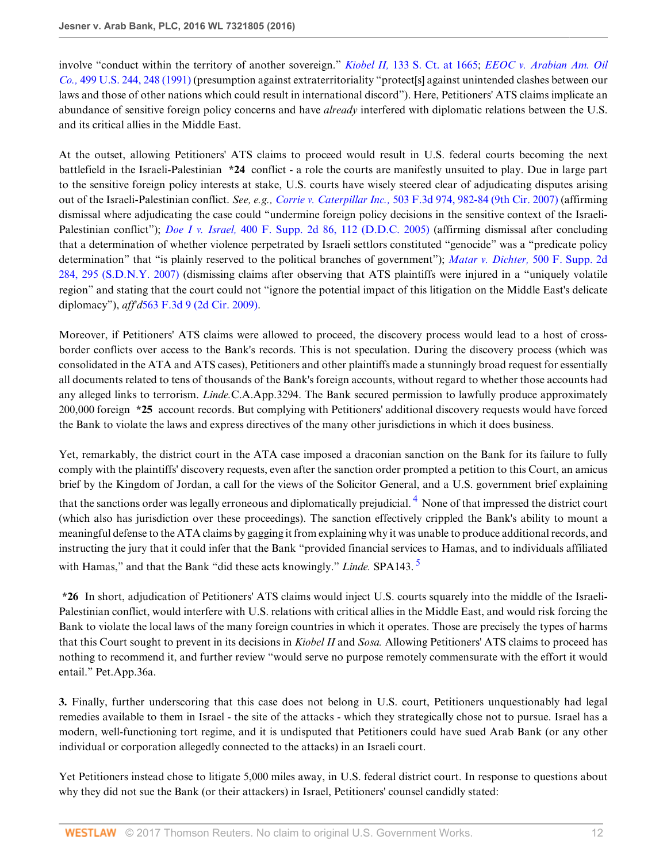involve "conduct within the territory of another sovereign." *Kiobel II,* [133 S. Ct. at 1665;](http://www.westlaw.com/Link/Document/FullText?findType=Y&serNum=2030367986&pubNum=0000708&originatingDoc=I1461840bc39411e6b92bf4314c15140f&refType=RP&fi=co_pp_sp_708_1665&originationContext=document&vr=3.0&rs=cblt1.0&transitionType=DocumentItem&contextData=(sc.Search)#co_pp_sp_708_1665) *[EEOC v. Arabian Am. Oil](http://www.westlaw.com/Link/Document/FullText?findType=Y&serNum=1991059722&pubNum=0000780&originatingDoc=I1461840bc39411e6b92bf4314c15140f&refType=RP&fi=co_pp_sp_780_248&originationContext=document&vr=3.0&rs=cblt1.0&transitionType=DocumentItem&contextData=(sc.Search)#co_pp_sp_780_248) Co.,* [499 U.S. 244, 248 \(1991\)](http://www.westlaw.com/Link/Document/FullText?findType=Y&serNum=1991059722&pubNum=0000780&originatingDoc=I1461840bc39411e6b92bf4314c15140f&refType=RP&fi=co_pp_sp_780_248&originationContext=document&vr=3.0&rs=cblt1.0&transitionType=DocumentItem&contextData=(sc.Search)#co_pp_sp_780_248) (presumption against extraterritoriality "protect[s] against unintended clashes between our laws and those of other nations which could result in international discord"). Here, Petitioners' ATS claims implicate an abundance of sensitive foreign policy concerns and have *already* interfered with diplomatic relations between the U.S. and its critical allies in the Middle East.

At the outset, allowing Petitioners' ATS claims to proceed would result in U.S. federal courts becoming the next battlefield in the Israeli-Palestinian **\*24** conflict - a role the courts are manifestly unsuited to play. Due in large part to the sensitive foreign policy interests at stake, U.S. courts have wisely steered clear of adjudicating disputes arising out of the Israeli-Palestinian conflict. *See, e.g., Corrie v. Caterpillar Inc.,* [503 F.3d 974, 982-84 \(9th Cir. 2007\)](http://www.westlaw.com/Link/Document/FullText?findType=Y&serNum=2013188929&pubNum=0000506&originatingDoc=I1461840bc39411e6b92bf4314c15140f&refType=RP&fi=co_pp_sp_506_982&originationContext=document&vr=3.0&rs=cblt1.0&transitionType=DocumentItem&contextData=(sc.Search)#co_pp_sp_506_982) (affirming dismissal where adjudicating the case could "undermine foreign policy decisions in the sensitive context of the Israeli-Palestinian conflict"); *Doe I v. Israel,* [400 F. Supp. 2d 86, 112 \(D.D.C. 2005\)](http://www.westlaw.com/Link/Document/FullText?findType=Y&serNum=2007688462&pubNum=0004637&originatingDoc=I1461840bc39411e6b92bf4314c15140f&refType=RP&fi=co_pp_sp_4637_112&originationContext=document&vr=3.0&rs=cblt1.0&transitionType=DocumentItem&contextData=(sc.Search)#co_pp_sp_4637_112) (affirming dismissal after concluding that a determination of whether violence perpetrated by Israeli settlors constituted "genocide" was a "predicate policy determination" that "is plainly reserved to the political branches of government"); *[Matar v. Dichter,](http://www.westlaw.com/Link/Document/FullText?findType=Y&serNum=2012151926&pubNum=0004637&originatingDoc=I1461840bc39411e6b92bf4314c15140f&refType=RP&fi=co_pp_sp_4637_295&originationContext=document&vr=3.0&rs=cblt1.0&transitionType=DocumentItem&contextData=(sc.Search)#co_pp_sp_4637_295)* 500 F. Supp. 2d [284, 295 \(S.D.N.Y. 2007\)](http://www.westlaw.com/Link/Document/FullText?findType=Y&serNum=2012151926&pubNum=0004637&originatingDoc=I1461840bc39411e6b92bf4314c15140f&refType=RP&fi=co_pp_sp_4637_295&originationContext=document&vr=3.0&rs=cblt1.0&transitionType=DocumentItem&contextData=(sc.Search)#co_pp_sp_4637_295) (dismissing claims after observing that ATS plaintiffs were injured in a "uniquely volatile region" and stating that the court could not "ignore the potential impact of this litigation on the Middle East's delicate diplomacy"), *aff'd*[563 F.3d 9 \(2d Cir. 2009\).](http://www.westlaw.com/Link/Document/FullText?findType=Y&serNum=2018612205&pubNum=0000506&originatingDoc=I1461840bc39411e6b92bf4314c15140f&refType=RP&originationContext=document&vr=3.0&rs=cblt1.0&transitionType=DocumentItem&contextData=(sc.Search))

Moreover, if Petitioners' ATS claims were allowed to proceed, the discovery process would lead to a host of crossborder conflicts over access to the Bank's records. This is not speculation. During the discovery process (which was consolidated in the ATA and ATS cases), Petitioners and other plaintiffs made a stunningly broad request for essentially all documents related to tens of thousands of the Bank's foreign accounts, without regard to whether those accounts had any alleged links to terrorism. *Linde.*C.A.App.3294. The Bank secured permission to lawfully produce approximately 200,000 foreign **\*25** account records. But complying with Petitioners' additional discovery requests would have forced the Bank to violate the laws and express directives of the many other jurisdictions in which it does business.

<span id="page-11-0"></span>Yet, remarkably, the district court in the ATA case imposed a draconian sanction on the Bank for its failure to fully comply with the plaintiffs' discovery requests, even after the sanction order prompted a petition to this Court, an amicus brief by the Kingdom of Jordan, a call for the views of the Solicitor General, and a U.S. government brief explaining that the sanctions order was legally erroneous and diplomatically prejudicial. <sup>[4](#page-15-3)</sup> None of that impressed the district court (which also has jurisdiction over these proceedings). The sanction effectively crippled the Bank's ability to mount a meaningful defense to the ATA claims by gagging it from explaining why it was unable to produce additional records, and instructing the jury that it could infer that the Bank "provided financial services to Hamas, and to individuals affiliated with Hamas," and that the Bank "did these acts knowingly." *Linde.* SPA143. [5](#page-15-4)

<span id="page-11-1"></span>**\*26** In short, adjudication of Petitioners' ATS claims would inject U.S. courts squarely into the middle of the Israeli-Palestinian conflict, would interfere with U.S. relations with critical allies in the Middle East, and would risk forcing the Bank to violate the local laws of the many foreign countries in which it operates. Those are precisely the types of harms that this Court sought to prevent in its decisions in *Kiobel II* and *Sosa.* Allowing Petitioners' ATS claims to proceed has nothing to recommend it, and further review "would serve no purpose remotely commensurate with the effort it would entail." Pet.App.36a.

**3.** Finally, further underscoring that this case does not belong in U.S. court, Petitioners unquestionably had legal remedies available to them in Israel - the site of the attacks - which they strategically chose not to pursue. Israel has a modern, well-functioning tort regime, and it is undisputed that Petitioners could have sued Arab Bank (or any other individual or corporation allegedly connected to the attacks) in an Israeli court.

Yet Petitioners instead chose to litigate 5,000 miles away, in U.S. federal district court. In response to questions about why they did not sue the Bank (or their attackers) in Israel, Petitioners' counsel candidly stated: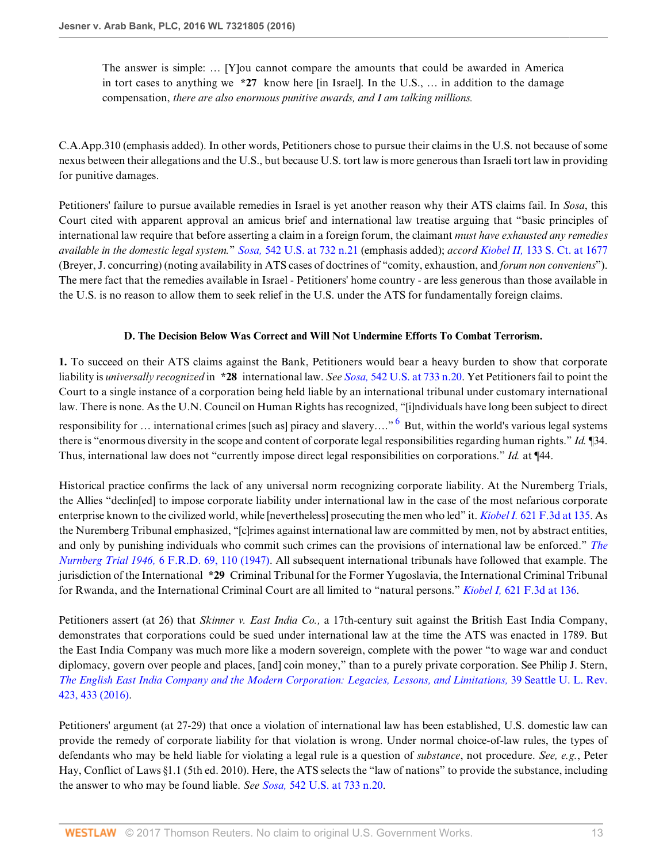The answer is simple: … [Y]ou cannot compare the amounts that could be awarded in America in tort cases to anything we **\*27** know here [in Israel]. In the U.S., … in addition to the damage compensation, *there are also enormous punitive awards, and I am talking millions.*

C.A.App.310 (emphasis added). In other words, Petitioners chose to pursue their claims in the U.S. not because of some nexus between their allegations and the U.S., but because U.S. tort law is more generous than Israeli tort law in providing for punitive damages.

Petitioners' failure to pursue available remedies in Israel is yet another reason why their ATS claims fail. In *Sosa*, this Court cited with apparent approval an amicus brief and international law treatise arguing that "basic principles of international law require that before asserting a claim in a foreign forum, the claimant *must have exhausted any remedies available in the domestic legal system.*" *Sosa,* [542 U.S. at 732 n.21](http://www.westlaw.com/Link/Document/FullText?findType=Y&serNum=2004637442&pubNum=0000780&originatingDoc=I1461840bc39411e6b92bf4314c15140f&refType=RP&fi=co_pp_sp_780_732&originationContext=document&vr=3.0&rs=cblt1.0&transitionType=DocumentItem&contextData=(sc.Search)#co_pp_sp_780_732) (emphasis added); *accord Kiobel II,* [133 S. Ct. at 1677](http://www.westlaw.com/Link/Document/FullText?findType=Y&serNum=2030367986&pubNum=0000708&originatingDoc=I1461840bc39411e6b92bf4314c15140f&refType=RP&fi=co_pp_sp_708_1677&originationContext=document&vr=3.0&rs=cblt1.0&transitionType=DocumentItem&contextData=(sc.Search)#co_pp_sp_708_1677) (Breyer, J. concurring) (noting availability in ATS cases of doctrines of "comity, exhaustion, and *forum non conveniens*"). The mere fact that the remedies available in Israel - Petitioners' home country - are less generous than those available in the U.S. is no reason to allow them to seek relief in the U.S. under the ATS for fundamentally foreign claims.

### <span id="page-12-0"></span>**D. The Decision Below Was Correct and Will Not Undermine Efforts To Combat Terrorism.**

**1.** To succeed on their ATS claims against the Bank, Petitioners would bear a heavy burden to show that corporate liability is *universally recognized* in **\*28** international law. *See Sosa,* [542 U.S. at 733 n.20](http://www.westlaw.com/Link/Document/FullText?findType=Y&serNum=2004637442&pubNum=0000780&originatingDoc=I1461840bc39411e6b92bf4314c15140f&refType=RP&fi=co_pp_sp_780_733&originationContext=document&vr=3.0&rs=cblt1.0&transitionType=DocumentItem&contextData=(sc.Search)#co_pp_sp_780_733). Yet Petitioners fail to point the Court to a single instance of a corporation being held liable by an international tribunal under customary international law. There is none. As the U.N. Council on Human Rights has recognized, "[i]ndividuals have long been subject to direct responsibility for ... international crimes [such as] piracy and slavery...." <sup>[6](#page-15-5)</sup> But, within the world's various legal systems there is "enormous diversity in the scope and content of corporate legal responsibilities regarding human rights." *Id.* ¶34. Thus, international law does not "currently impose direct legal responsibilities on corporations." *Id.* at ¶44.

Historical practice confirms the lack of any universal norm recognizing corporate liability. At the Nuremberg Trials, the Allies "declin[ed] to impose corporate liability under international law in the case of the most nefarious corporate enterprise known to the civilized world, while [nevertheless] prosecuting the men who led" it. *Kiobel I.* [621 F.3d at 135.](http://www.westlaw.com/Link/Document/FullText?findType=Y&serNum=2023079291&pubNum=0000506&originatingDoc=I1461840bc39411e6b92bf4314c15140f&refType=RP&fi=co_pp_sp_506_135&originationContext=document&vr=3.0&rs=cblt1.0&transitionType=DocumentItem&contextData=(sc.Search)#co_pp_sp_506_135) As the Nuremberg Tribunal emphasized, "[c]rimes against international law are committed by men, not by abstract entities, and only by punishing individuals who commit such crimes can the provisions of international law be enforced." *[The](http://www.westlaw.com/Link/Document/FullText?findType=Y&serNum=0292131258&pubNum=0000344&originatingDoc=I1461840bc39411e6b92bf4314c15140f&refType=LR&fi=co_pp_sp_344_110&originationContext=document&vr=3.0&rs=cblt1.0&transitionType=DocumentItem&contextData=(sc.Search)#co_pp_sp_344_110) Nurnberg Trial 1946,* [6 F.R.D. 69, 110 \(1947\).](http://www.westlaw.com/Link/Document/FullText?findType=Y&serNum=0292131258&pubNum=0000344&originatingDoc=I1461840bc39411e6b92bf4314c15140f&refType=LR&fi=co_pp_sp_344_110&originationContext=document&vr=3.0&rs=cblt1.0&transitionType=DocumentItem&contextData=(sc.Search)#co_pp_sp_344_110) All subsequent international tribunals have followed that example. The jurisdiction of the International **\*29** Criminal Tribunal for the Former Yugoslavia, the International Criminal Tribunal for Rwanda, and the International Criminal Court are all limited to "natural persons." *Kiobel I,* [621 F.3d at 136](http://www.westlaw.com/Link/Document/FullText?findType=Y&serNum=2023079291&pubNum=0000506&originatingDoc=I1461840bc39411e6b92bf4314c15140f&refType=RP&fi=co_pp_sp_506_136&originationContext=document&vr=3.0&rs=cblt1.0&transitionType=DocumentItem&contextData=(sc.Search)#co_pp_sp_506_136).

Petitioners assert (at 26) that *Skinner v. East India Co.,* a 17th-century suit against the British East India Company, demonstrates that corporations could be sued under international law at the time the ATS was enacted in 1789. But the East India Company was much more like a modern sovereign, complete with the power "to wage war and conduct diplomacy, govern over people and places, [and] coin money," than to a purely private corporation. See Philip J. Stern, *[The English East India Company and the Modern Corporation: Legacies, Lessons, and Limitations,](http://www.westlaw.com/Link/Document/FullText?findType=Y&serNum=0442011653&pubNum=0107349&originatingDoc=I1461840bc39411e6b92bf4314c15140f&refType=LR&fi=co_pp_sp_107349_433&originationContext=document&vr=3.0&rs=cblt1.0&transitionType=DocumentItem&contextData=(sc.Search)#co_pp_sp_107349_433)* 39 Seattle U. L. Rev. [423, 433 \(2016\)](http://www.westlaw.com/Link/Document/FullText?findType=Y&serNum=0442011653&pubNum=0107349&originatingDoc=I1461840bc39411e6b92bf4314c15140f&refType=LR&fi=co_pp_sp_107349_433&originationContext=document&vr=3.0&rs=cblt1.0&transitionType=DocumentItem&contextData=(sc.Search)#co_pp_sp_107349_433).

Petitioners' argument (at 27-29) that once a violation of international law has been established, U.S. domestic law can provide the remedy of corporate liability for that violation is wrong. Under normal choice-of-law rules, the types of defendants who may be held liable for violating a legal rule is a question of *substance*, not procedure. *See, e.g.*, Peter Hay, Conflict of Laws §1.1 (5th ed. 2010). Here, the ATS selects the "law of nations" to provide the substance, including the answer to who may be found liable. *See Sosa,* [542 U.S. at 733 n.20.](http://www.westlaw.com/Link/Document/FullText?findType=Y&serNum=2004637442&pubNum=0000780&originatingDoc=I1461840bc39411e6b92bf4314c15140f&refType=RP&fi=co_pp_sp_780_733&originationContext=document&vr=3.0&rs=cblt1.0&transitionType=DocumentItem&contextData=(sc.Search)#co_pp_sp_780_733)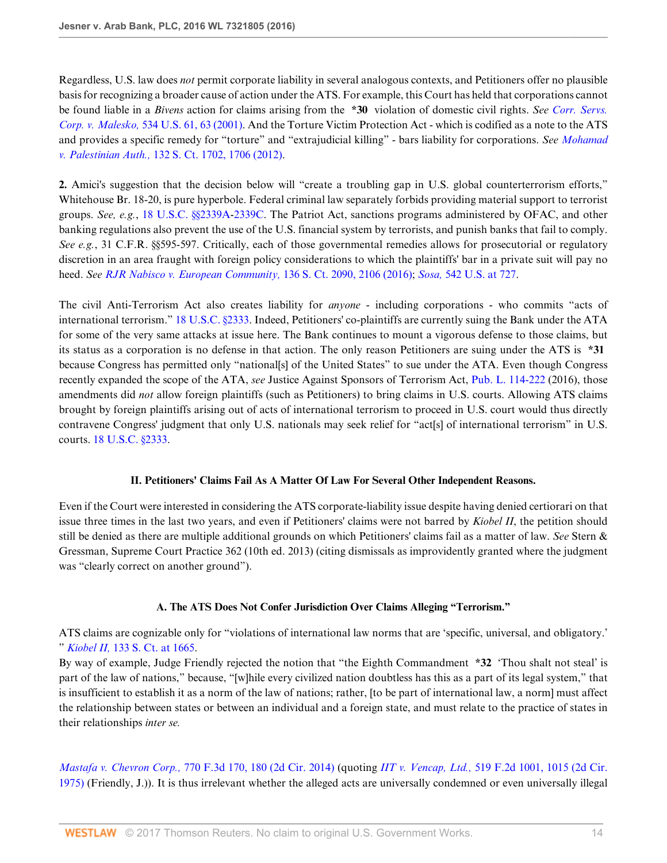Regardless, U.S. law does *not* permit corporate liability in several analogous contexts, and Petitioners offer no plausible basis for recognizing a broader cause of action under the ATS. For example, this Court has held that corporations cannot be found liable in a *Bivens* action for claims arising from the **\*30** violation of domestic civil rights. *See [Corr. Servs.](http://www.westlaw.com/Link/Document/FullText?findType=Y&serNum=2001473498&pubNum=0000780&originatingDoc=I1461840bc39411e6b92bf4314c15140f&refType=RP&fi=co_pp_sp_780_63&originationContext=document&vr=3.0&rs=cblt1.0&transitionType=DocumentItem&contextData=(sc.Search)#co_pp_sp_780_63) Corp. v. Malesko,* [534 U.S. 61, 63 \(2001\).](http://www.westlaw.com/Link/Document/FullText?findType=Y&serNum=2001473498&pubNum=0000780&originatingDoc=I1461840bc39411e6b92bf4314c15140f&refType=RP&fi=co_pp_sp_780_63&originationContext=document&vr=3.0&rs=cblt1.0&transitionType=DocumentItem&contextData=(sc.Search)#co_pp_sp_780_63) And the Torture Victim Protection Act - which is codified as a note to the ATS and provides a specific remedy for "torture" and "extrajudicial killing" - bars liability for corporations. *See [Mohamad](http://www.westlaw.com/Link/Document/FullText?findType=Y&serNum=2027515385&pubNum=0000708&originatingDoc=I1461840bc39411e6b92bf4314c15140f&refType=RP&fi=co_pp_sp_708_1706&originationContext=document&vr=3.0&rs=cblt1.0&transitionType=DocumentItem&contextData=(sc.Search)#co_pp_sp_708_1706) v. Palestinian Auth.,* [132 S. Ct. 1702, 1706 \(2012\)](http://www.westlaw.com/Link/Document/FullText?findType=Y&serNum=2027515385&pubNum=0000708&originatingDoc=I1461840bc39411e6b92bf4314c15140f&refType=RP&fi=co_pp_sp_708_1706&originationContext=document&vr=3.0&rs=cblt1.0&transitionType=DocumentItem&contextData=(sc.Search)#co_pp_sp_708_1706).

**2.** Amici's suggestion that the decision below will "create a troubling gap in U.S. global counterterrorism efforts," Whitehouse Br. 18-20, is pure hyperbole. Federal criminal law separately forbids providing material support to terrorist groups. *See, e.g.*, [18 U.S.C. §§2339A-](http://www.westlaw.com/Link/Document/FullText?findType=L&pubNum=1000546&cite=18USCAS2339A&originatingDoc=I1461840bc39411e6b92bf4314c15140f&refType=LQ&originationContext=document&vr=3.0&rs=cblt1.0&transitionType=DocumentItem&contextData=(sc.Search))[2339C](http://www.westlaw.com/Link/Document/FullText?findType=L&pubNum=1000546&cite=18USCAS2339C&originatingDoc=I1461840bc39411e6b92bf4314c15140f&refType=LQ&originationContext=document&vr=3.0&rs=cblt1.0&transitionType=DocumentItem&contextData=(sc.Search)). The Patriot Act, sanctions programs administered by OFAC, and other banking regulations also prevent the use of the U.S. financial system by terrorists, and punish banks that fail to comply. *See e.g.*, 31 C.F.R. §§595-597. Critically, each of those governmental remedies allows for prosecutorial or regulatory discretion in an area fraught with foreign policy considerations to which the plaintiffs' bar in a private suit will pay no heed. *See [RJR Nabisco v. European Community,](http://www.westlaw.com/Link/Document/FullText?findType=Y&serNum=2039199305&pubNum=0000708&originatingDoc=I1461840bc39411e6b92bf4314c15140f&refType=RP&fi=co_pp_sp_708_2106&originationContext=document&vr=3.0&rs=cblt1.0&transitionType=DocumentItem&contextData=(sc.Search)#co_pp_sp_708_2106)* 136 S. Ct. 2090, 2106 (2016); *Sosa,* [542 U.S. at 727.](http://www.westlaw.com/Link/Document/FullText?findType=Y&serNum=2004637442&pubNum=0000780&originatingDoc=I1461840bc39411e6b92bf4314c15140f&refType=RP&fi=co_pp_sp_780_727&originationContext=document&vr=3.0&rs=cblt1.0&transitionType=DocumentItem&contextData=(sc.Search)#co_pp_sp_780_727)

The civil Anti-Terrorism Act also creates liability for *anyone* - including corporations - who commits "acts of international terrorism." [18 U.S.C. §2333.](http://www.westlaw.com/Link/Document/FullText?findType=L&pubNum=1000546&cite=18USCAS2333&originatingDoc=I1461840bc39411e6b92bf4314c15140f&refType=LQ&originationContext=document&vr=3.0&rs=cblt1.0&transitionType=DocumentItem&contextData=(sc.Search)) Indeed, Petitioners' co-plaintiffs are currently suing the Bank under the ATA for some of the very same attacks at issue here. The Bank continues to mount a vigorous defense to those claims, but its status as a corporation is no defense in that action. The only reason Petitioners are suing under the ATS is **\*31** because Congress has permitted only "national[s] of the United States" to sue under the ATA. Even though Congress recently expanded the scope of the ATA, *see* Justice Against Sponsors of Terrorism Act, [Pub. L. 114-222](http://www.westlaw.com/Link/Document/FullText?findType=l&pubNum=1077005&cite=UUID(IDD75520079-8A11E6BBBCD-1E7FC32F906)&originatingDoc=I1461840bc39411e6b92bf4314c15140f&refType=SL&originationContext=document&vr=3.0&rs=cblt1.0&transitionType=DocumentItem&contextData=(sc.Search)) (2016), those amendments did *not* allow foreign plaintiffs (such as Petitioners) to bring claims in U.S. courts. Allowing ATS claims brought by foreign plaintiffs arising out of acts of international terrorism to proceed in U.S. court would thus directly contravene Congress' judgment that only U.S. nationals may seek relief for "act[s] of international terrorism" in U.S. courts. [18 U.S.C. §2333.](http://www.westlaw.com/Link/Document/FullText?findType=L&pubNum=1000546&cite=18USCAS2333&originatingDoc=I1461840bc39411e6b92bf4314c15140f&refType=LQ&originationContext=document&vr=3.0&rs=cblt1.0&transitionType=DocumentItem&contextData=(sc.Search))

#### **II. Petitioners' Claims Fail As A Matter Of Law For Several Other Independent Reasons.**

Even if the Court were interested in considering the ATS corporate-liability issue despite having denied certiorari on that issue three times in the last two years, and even if Petitioners' claims were not barred by *Kiobel II*, the petition should still be denied as there are multiple additional grounds on which Petitioners' claims fail as a matter of law. *See* Stern & Gressman, Supreme Court Practice 362 (10th ed. 2013) (citing dismissals as improvidently granted where the judgment was "clearly correct on another ground").

### **A. The ATS Does Not Confer Jurisdiction Over Claims Alleging "Terrorism."**

ATS claims are cognizable only for "violations of international law norms that are 'specific, universal, and obligatory.' " *Kiobel II,* [133 S. Ct. at 1665.](http://www.westlaw.com/Link/Document/FullText?findType=Y&serNum=2030367986&pubNum=0000708&originatingDoc=I1461840bc39411e6b92bf4314c15140f&refType=RP&fi=co_pp_sp_708_1665&originationContext=document&vr=3.0&rs=cblt1.0&transitionType=DocumentItem&contextData=(sc.Search)#co_pp_sp_708_1665)

By way of example, Judge Friendly rejected the notion that "the Eighth Commandment **\*32** 'Thou shalt not steal' is part of the law of nations," because, "[w]hile every civilized nation doubtless has this as a part of its legal system," that is insufficient to establish it as a norm of the law of nations; rather, [to be part of international law, a norm] must affect the relationship between states or between an individual and a foreign state, and must relate to the practice of states in their relationships *inter se.*

*Mastafa v. Chevron Corp.,* [770 F.3d 170, 180 \(2d Cir. 2014\)](http://www.westlaw.com/Link/Document/FullText?findType=Y&serNum=2034662860&pubNum=0000506&originatingDoc=I1461840bc39411e6b92bf4314c15140f&refType=RP&fi=co_pp_sp_506_180&originationContext=document&vr=3.0&rs=cblt1.0&transitionType=DocumentItem&contextData=(sc.Search)#co_pp_sp_506_180) (quoting *IIT v. Vencap, Ltd.,* [519 F.2d 1001, 1015 \(2d Cir.](http://www.westlaw.com/Link/Document/FullText?findType=Y&serNum=1975111714&pubNum=0000350&originatingDoc=I1461840bc39411e6b92bf4314c15140f&refType=RP&fi=co_pp_sp_350_1015&originationContext=document&vr=3.0&rs=cblt1.0&transitionType=DocumentItem&contextData=(sc.Search)#co_pp_sp_350_1015) [1975\)](http://www.westlaw.com/Link/Document/FullText?findType=Y&serNum=1975111714&pubNum=0000350&originatingDoc=I1461840bc39411e6b92bf4314c15140f&refType=RP&fi=co_pp_sp_350_1015&originationContext=document&vr=3.0&rs=cblt1.0&transitionType=DocumentItem&contextData=(sc.Search)#co_pp_sp_350_1015) (Friendly, J.)). It is thus irrelevant whether the alleged acts are universally condemned or even universally illegal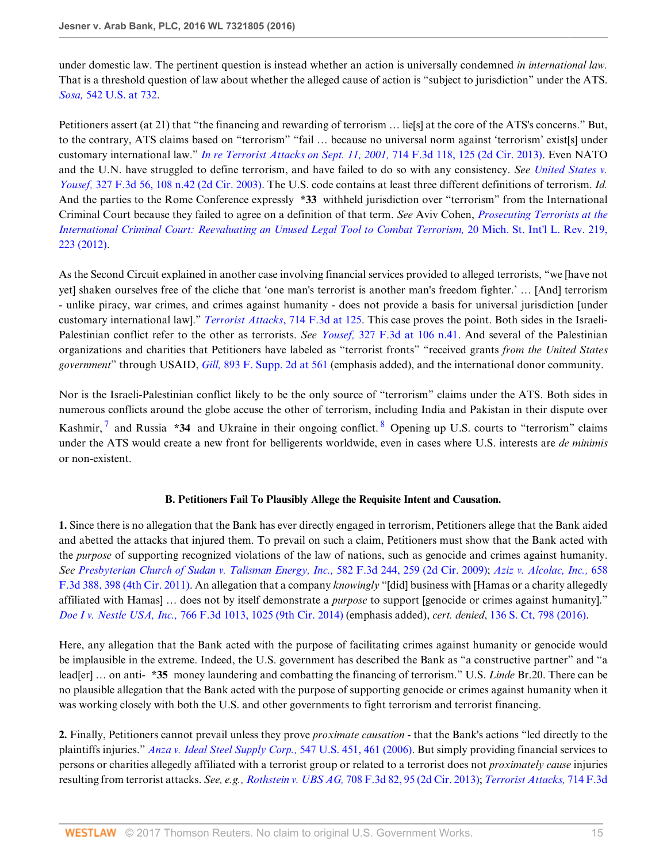under domestic law. The pertinent question is instead whether an action is universally condemned *in international law.* That is a threshold question of law about whether the alleged cause of action is "subject to jurisdiction" under the ATS. *Sosa,* [542 U.S. at 732](http://www.westlaw.com/Link/Document/FullText?findType=Y&serNum=2004637442&pubNum=0000780&originatingDoc=I1461840bc39411e6b92bf4314c15140f&refType=RP&fi=co_pp_sp_780_732&originationContext=document&vr=3.0&rs=cblt1.0&transitionType=DocumentItem&contextData=(sc.Search)#co_pp_sp_780_732).

Petitioners assert (at 21) that "the financing and rewarding of terrorism ... lie[s] at the core of the ATS's concerns." But, to the contrary, ATS claims based on "terrorism" "fail ... because no universal norm against 'terrorism' exist[s] under customary international law." *[In re Terrorist Attacks on Sept. 11, 2001,](http://www.westlaw.com/Link/Document/FullText?findType=Y&serNum=2030355529&pubNum=0000506&originatingDoc=I1461840bc39411e6b92bf4314c15140f&refType=RP&fi=co_pp_sp_506_125&originationContext=document&vr=3.0&rs=cblt1.0&transitionType=DocumentItem&contextData=(sc.Search)#co_pp_sp_506_125)* 714 F.3d 118, 125 (2d Cir. 2013). Even NATO and the U.N. have struggled to define terrorism, and have failed to do so with any consistency. *See [United States v.](http://www.westlaw.com/Link/Document/FullText?findType=Y&serNum=2003268981&pubNum=0000506&originatingDoc=I1461840bc39411e6b92bf4314c15140f&refType=RP&fi=co_pp_sp_506_108&originationContext=document&vr=3.0&rs=cblt1.0&transitionType=DocumentItem&contextData=(sc.Search)#co_pp_sp_506_108) Yousef,* [327 F.3d 56, 108 n.42 \(2d Cir. 2003\)](http://www.westlaw.com/Link/Document/FullText?findType=Y&serNum=2003268981&pubNum=0000506&originatingDoc=I1461840bc39411e6b92bf4314c15140f&refType=RP&fi=co_pp_sp_506_108&originationContext=document&vr=3.0&rs=cblt1.0&transitionType=DocumentItem&contextData=(sc.Search)#co_pp_sp_506_108). The U.S. code contains at least three different definitions of terrorism. *Id.* And the parties to the Rome Conference expressly **\*33** withheld jurisdiction over "terrorism" from the International Criminal Court because they failed to agree on a definition of that term. *See* Aviv Cohen, *[Prosecuting Terrorists at the](http://www.westlaw.com/Link/Document/FullText?findType=Y&serNum=0372735860&pubNum=0215140&originatingDoc=I1461840bc39411e6b92bf4314c15140f&refType=LR&fi=co_pp_sp_215140_223&originationContext=document&vr=3.0&rs=cblt1.0&transitionType=DocumentItem&contextData=(sc.Search)#co_pp_sp_215140_223) [International Criminal Court: Reevaluating an Unused Legal Tool to Combat Terrorism,](http://www.westlaw.com/Link/Document/FullText?findType=Y&serNum=0372735860&pubNum=0215140&originatingDoc=I1461840bc39411e6b92bf4314c15140f&refType=LR&fi=co_pp_sp_215140_223&originationContext=document&vr=3.0&rs=cblt1.0&transitionType=DocumentItem&contextData=(sc.Search)#co_pp_sp_215140_223)* 20 Mich. St. Int'l L. Rev. 219, [223 \(2012\)](http://www.westlaw.com/Link/Document/FullText?findType=Y&serNum=0372735860&pubNum=0215140&originatingDoc=I1461840bc39411e6b92bf4314c15140f&refType=LR&fi=co_pp_sp_215140_223&originationContext=document&vr=3.0&rs=cblt1.0&transitionType=DocumentItem&contextData=(sc.Search)#co_pp_sp_215140_223).

As the Second Circuit explained in another case involving financial services provided to alleged terrorists, "we [have not yet] shaken ourselves free of the cliche that 'one man's terrorist is another man's freedom fighter.' … [And] terrorism - unlike piracy, war crimes, and crimes against humanity - does not provide a basis for universal jurisdiction [under customary international law]." *[Terrorist Attacks](http://www.westlaw.com/Link/Document/FullText?findType=Y&serNum=2030355529&pubNum=0000506&originatingDoc=I1461840bc39411e6b92bf4314c15140f&refType=RP&fi=co_pp_sp_506_125&originationContext=document&vr=3.0&rs=cblt1.0&transitionType=DocumentItem&contextData=(sc.Search)#co_pp_sp_506_125)*, 714 F.3d at 125. This case proves the point. Both sides in the Israeli-Palestinian conflict refer to the other as terrorists. *See Yousef,* [327 F.3d at 106 n.41](http://www.westlaw.com/Link/Document/FullText?findType=Y&serNum=2003268981&pubNum=0000506&originatingDoc=I1461840bc39411e6b92bf4314c15140f&refType=RP&fi=co_pp_sp_506_106&originationContext=document&vr=3.0&rs=cblt1.0&transitionType=DocumentItem&contextData=(sc.Search)#co_pp_sp_506_106). And several of the Palestinian organizations and charities that Petitioners have labeled as "terrorist fronts" "received grants *from the United States government*" through USAID, *Gill,* [893 F. Supp. 2d at 561](http://www.westlaw.com/Link/Document/FullText?findType=Y&serNum=2029142699&pubNum=0004637&originatingDoc=I1461840bc39411e6b92bf4314c15140f&refType=RP&fi=co_pp_sp_4637_561&originationContext=document&vr=3.0&rs=cblt1.0&transitionType=DocumentItem&contextData=(sc.Search)#co_pp_sp_4637_561) (emphasis added), and the international donor community.

<span id="page-14-0"></span>Nor is the Israeli-Palestinian conflict likely to be the only source of "terrorism" claims under the ATS. Both sides in numerous conflicts around the globe accuse the other of terrorism, including India and Pakistan in their dispute over Kashmir, <sup>[7](#page-15-6)</sup> and Russia \*34 and Ukraine in their ongoing conflict. <sup>[8](#page-15-7)</sup> Opening up U.S. courts to "terrorism" claims under the ATS would create a new front for belligerents worldwide, even in cases where U.S. interests are *de minimis* or non-existent.

#### <span id="page-14-1"></span>**B. Petitioners Fail To Plausibly Allege the Requisite Intent and Causation.**

**1.** Since there is no allegation that the Bank has ever directly engaged in terrorism, Petitioners allege that the Bank aided and abetted the attacks that injured them. To prevail on such a claim, Petitioners must show that the Bank acted with the *purpose* of supporting recognized violations of the law of nations, such as genocide and crimes against humanity. *See [Presbyterian Church of Sudan v. Talisman Energy, Inc.,](http://www.westlaw.com/Link/Document/FullText?findType=Y&serNum=2019944807&pubNum=0000506&originatingDoc=I1461840bc39411e6b92bf4314c15140f&refType=RP&fi=co_pp_sp_506_259&originationContext=document&vr=3.0&rs=cblt1.0&transitionType=DocumentItem&contextData=(sc.Search)#co_pp_sp_506_259)* 582 F.3d 244, 259 (2d Cir. 2009); *[Aziz v. Alcolac, Inc.,](http://www.westlaw.com/Link/Document/FullText?findType=Y&serNum=2026170055&pubNum=0000506&originatingDoc=I1461840bc39411e6b92bf4314c15140f&refType=RP&fi=co_pp_sp_506_398&originationContext=document&vr=3.0&rs=cblt1.0&transitionType=DocumentItem&contextData=(sc.Search)#co_pp_sp_506_398)* 658 [F.3d 388, 398 \(4th Cir. 2011\)](http://www.westlaw.com/Link/Document/FullText?findType=Y&serNum=2026170055&pubNum=0000506&originatingDoc=I1461840bc39411e6b92bf4314c15140f&refType=RP&fi=co_pp_sp_506_398&originationContext=document&vr=3.0&rs=cblt1.0&transitionType=DocumentItem&contextData=(sc.Search)#co_pp_sp_506_398). An allegation that a company *knowingly* "[did] business with [Hamas or a charity allegedly affiliated with Hamas] … does not by itself demonstrate a *purpose* to support [genocide or crimes against humanity]." *Doe I v. Nestle USA, Inc.,* [766 F.3d 1013, 1025 \(9th Cir. 2014\)](http://www.westlaw.com/Link/Document/FullText?findType=Y&serNum=2034278890&pubNum=0000506&originatingDoc=I1461840bc39411e6b92bf4314c15140f&refType=RP&fi=co_pp_sp_506_1025&originationContext=document&vr=3.0&rs=cblt1.0&transitionType=DocumentItem&contextData=(sc.Search)#co_pp_sp_506_1025) (emphasis added), *cert. denied*, [136 S. Ct, 798 \(2016\)](http://www.westlaw.com/Link/Document/FullText?findType=Y&serNum=2037211656&pubNum=0000708&originatingDoc=I1461840bc39411e6b92bf4314c15140f&refType=RP&originationContext=document&vr=3.0&rs=cblt1.0&transitionType=DocumentItem&contextData=(sc.Search)).

Here, any allegation that the Bank acted with the purpose of facilitating crimes against humanity or genocide would be implausible in the extreme. Indeed, the U.S. government has described the Bank as "a constructive partner" and "a lead[er] … on anti- **\*35** money laundering and combatting the financing of terrorism." U.S. *Linde* Br.20. There can be no plausible allegation that the Bank acted with the purpose of supporting genocide or crimes against humanity when it was working closely with both the U.S. and other governments to fight terrorism and terrorist financing.

**2.** Finally, Petitioners cannot prevail unless they prove *proximate causation* - that the Bank's actions "led directly to the plaintiffs injuries." *[Anza v. Ideal Steel Supply Corp.,](http://www.westlaw.com/Link/Document/FullText?findType=Y&serNum=2009295918&pubNum=0000780&originatingDoc=I1461840bc39411e6b92bf4314c15140f&refType=RP&fi=co_pp_sp_780_461&originationContext=document&vr=3.0&rs=cblt1.0&transitionType=DocumentItem&contextData=(sc.Search)#co_pp_sp_780_461)* 547 U.S. 451, 461 (2006). But simply providing financial services to persons or charities allegedly affiliated with a terrorist group or related to a terrorist does not *proximately cause* injuries resulting from terrorist attacks. *See, e.g., Rothstein v. UBS AG,* [708 F.3d 82, 95 \(2d Cir. 2013\)](http://www.westlaw.com/Link/Document/FullText?findType=Y&serNum=2029858337&pubNum=0000506&originatingDoc=I1461840bc39411e6b92bf4314c15140f&refType=RP&fi=co_pp_sp_506_95&originationContext=document&vr=3.0&rs=cblt1.0&transitionType=DocumentItem&contextData=(sc.Search)#co_pp_sp_506_95); *[Terrorist Attacks,](http://www.westlaw.com/Link/Document/FullText?findType=Y&serNum=2030355529&pubNum=0000506&originatingDoc=I1461840bc39411e6b92bf4314c15140f&refType=RP&fi=co_pp_sp_506_124&originationContext=document&vr=3.0&rs=cblt1.0&transitionType=DocumentItem&contextData=(sc.Search)#co_pp_sp_506_124)* 714 F.3d